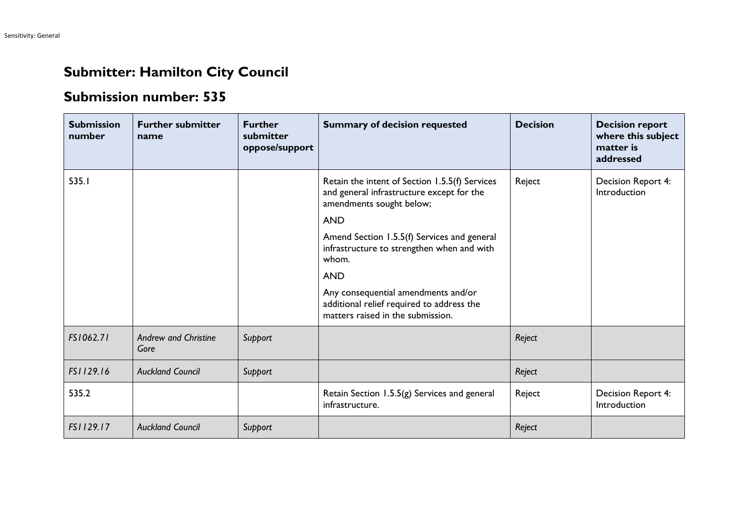## **Submitter: Hamilton City Council**

## **Submission number: 535**

| <b>Submission</b><br>number | <b>Further submitter</b><br>name    | <b>Further</b><br>submitter<br>oppose/support | <b>Summary of decision requested</b>                                                                                                                                                                                                                                                                                                                                               | <b>Decision</b> | <b>Decision report</b><br>where this subject<br>matter is<br>addressed |
|-----------------------------|-------------------------------------|-----------------------------------------------|------------------------------------------------------------------------------------------------------------------------------------------------------------------------------------------------------------------------------------------------------------------------------------------------------------------------------------------------------------------------------------|-----------------|------------------------------------------------------------------------|
| 535.I                       |                                     |                                               | Retain the intent of Section 1.5.5(f) Services<br>and general infrastructure except for the<br>amendments sought below;<br><b>AND</b><br>Amend Section 1.5.5(f) Services and general<br>infrastructure to strengthen when and with<br>whom.<br><b>AND</b><br>Any consequential amendments and/or<br>additional relief required to address the<br>matters raised in the submission. | Reject          | Decision Report 4:<br>Introduction                                     |
| FS1062.71                   | <b>Andrew and Christine</b><br>Gore | Support                                       |                                                                                                                                                                                                                                                                                                                                                                                    | Reject          |                                                                        |
| FS1129.16                   | <b>Auckland Council</b>             | Support                                       |                                                                                                                                                                                                                                                                                                                                                                                    | Reject          |                                                                        |
| 535.2                       |                                     |                                               | Retain Section 1.5.5(g) Services and general<br>infrastructure.                                                                                                                                                                                                                                                                                                                    | Reject          | Decision Report 4:<br>Introduction                                     |
| FS1129.17                   | <b>Auckland Council</b>             | Support                                       |                                                                                                                                                                                                                                                                                                                                                                                    | Reject          |                                                                        |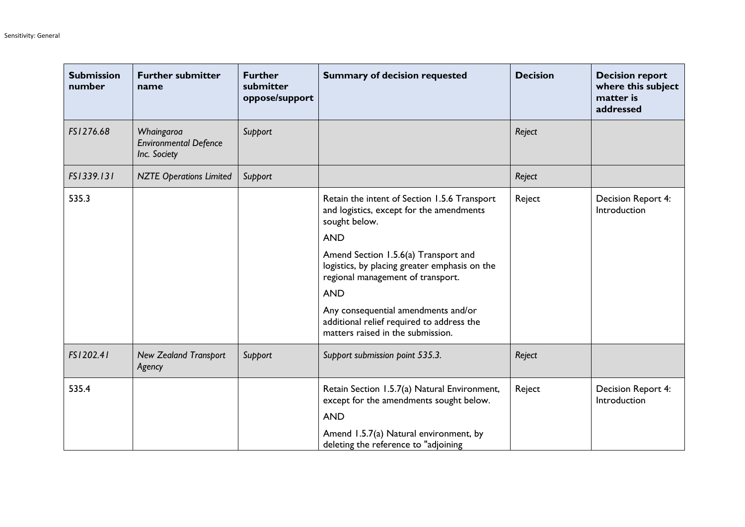| <b>Submission</b><br>number | <b>Further submitter</b><br>name                           | <b>Further</b><br>submitter<br>oppose/support | <b>Summary of decision requested</b>                                                                                       | <b>Decision</b> | <b>Decision report</b><br>where this subject<br>matter is<br>addressed |
|-----------------------------|------------------------------------------------------------|-----------------------------------------------|----------------------------------------------------------------------------------------------------------------------------|-----------------|------------------------------------------------------------------------|
| FS1276.68                   | Whaingaroa<br><b>Environmental Defence</b><br>Inc. Society | Support                                       |                                                                                                                            | Reject          |                                                                        |
| FS1339.131                  | <b>NZTE Operations Limited</b>                             | Support                                       |                                                                                                                            | Reject          |                                                                        |
| 535.3                       |                                                            |                                               | Retain the intent of Section 1.5.6 Transport<br>and logistics, except for the amendments<br>sought below.                  | Reject          | Decision Report 4:<br>Introduction                                     |
|                             |                                                            |                                               | <b>AND</b>                                                                                                                 |                 |                                                                        |
|                             |                                                            |                                               | Amend Section 1.5.6(a) Transport and<br>logistics, by placing greater emphasis on the<br>regional management of transport. |                 |                                                                        |
|                             |                                                            |                                               | <b>AND</b>                                                                                                                 |                 |                                                                        |
|                             |                                                            |                                               | Any consequential amendments and/or<br>additional relief required to address the<br>matters raised in the submission.      |                 |                                                                        |
| FS1202.41                   | <b>New Zealand Transport</b><br>Agency                     | Support                                       | Support submission point 535.3.                                                                                            | Reject          |                                                                        |
| 535.4                       |                                                            |                                               | Retain Section 1.5.7(a) Natural Environment,<br>except for the amendments sought below.                                    | Reject          | Decision Report 4:<br>Introduction                                     |
|                             |                                                            |                                               | <b>AND</b>                                                                                                                 |                 |                                                                        |
|                             |                                                            |                                               | Amend 1.5.7(a) Natural environment, by<br>deleting the reference to "adjoining                                             |                 |                                                                        |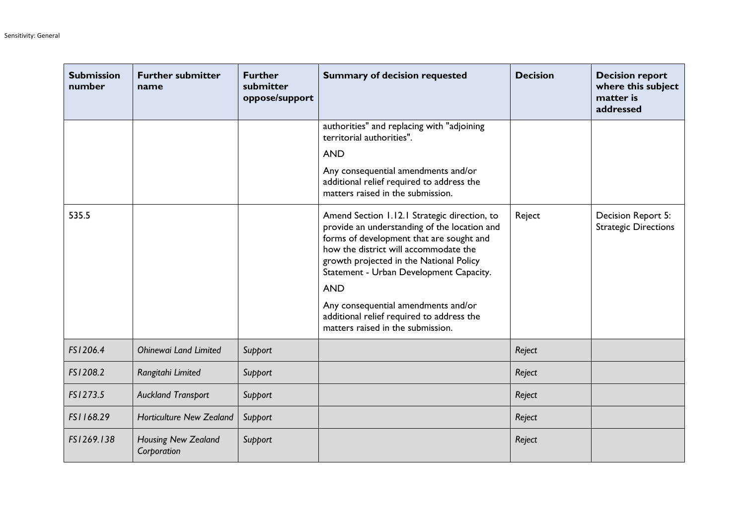| <b>Submission</b><br>number | <b>Further submitter</b><br>name   | <b>Further</b><br>submitter<br>oppose/support | <b>Summary of decision requested</b>                                                                                                                                                                                                                                                  | <b>Decision</b> | <b>Decision report</b><br>where this subject<br>matter is<br>addressed |
|-----------------------------|------------------------------------|-----------------------------------------------|---------------------------------------------------------------------------------------------------------------------------------------------------------------------------------------------------------------------------------------------------------------------------------------|-----------------|------------------------------------------------------------------------|
|                             |                                    |                                               | authorities" and replacing with "adjoining<br>territorial authorities".                                                                                                                                                                                                               |                 |                                                                        |
|                             |                                    |                                               | <b>AND</b>                                                                                                                                                                                                                                                                            |                 |                                                                        |
|                             |                                    |                                               | Any consequential amendments and/or<br>additional relief required to address the<br>matters raised in the submission.                                                                                                                                                                 |                 |                                                                        |
| 535.5                       |                                    |                                               | Amend Section 1.12.1 Strategic direction, to<br>provide an understanding of the location and<br>forms of development that are sought and<br>how the district will accommodate the<br>growth projected in the National Policy<br>Statement - Urban Development Capacity.<br><b>AND</b> | Reject          | Decision Report 5:<br><b>Strategic Directions</b>                      |
|                             |                                    |                                               | Any consequential amendments and/or<br>additional relief required to address the<br>matters raised in the submission.                                                                                                                                                                 |                 |                                                                        |
| FS1206.4                    | <b>Ohinewai Land Limited</b>       | Support                                       |                                                                                                                                                                                                                                                                                       | Reject          |                                                                        |
| FS1208.2                    | Rangitahi Limited                  | Support                                       |                                                                                                                                                                                                                                                                                       | Reject          |                                                                        |
| FS1273.5                    | <b>Auckland Transport</b>          | Support                                       |                                                                                                                                                                                                                                                                                       | Reject          |                                                                        |
| FS1168.29                   | <b>Horticulture New Zealand</b>    | Support                                       |                                                                                                                                                                                                                                                                                       | Reject          |                                                                        |
| FS1269.138                  | Housing New Zealand<br>Corporation | Support                                       |                                                                                                                                                                                                                                                                                       | Reject          |                                                                        |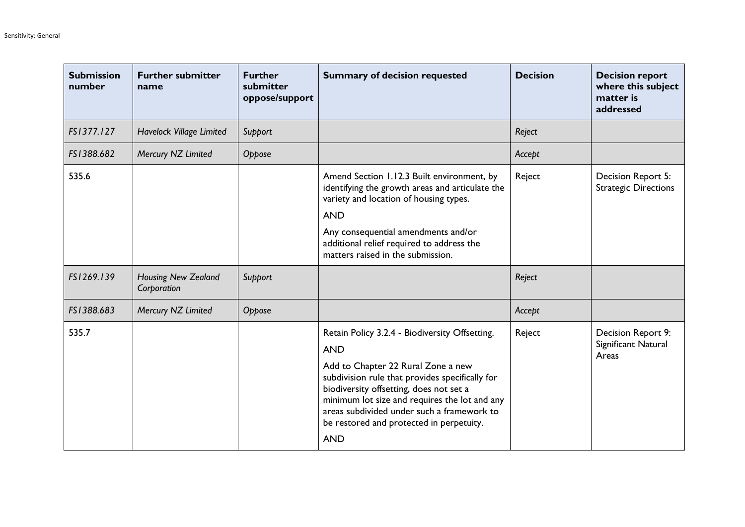| <b>Submission</b><br>number | <b>Further submitter</b><br>name          | <b>Further</b><br>submitter<br>oppose/support | <b>Summary of decision requested</b>                                                                                                                                                                                                                                                                                                                      | <b>Decision</b> | <b>Decision report</b><br>where this subject<br>matter is<br>addressed |
|-----------------------------|-------------------------------------------|-----------------------------------------------|-----------------------------------------------------------------------------------------------------------------------------------------------------------------------------------------------------------------------------------------------------------------------------------------------------------------------------------------------------------|-----------------|------------------------------------------------------------------------|
| FS1377.127                  | Havelock Village Limited                  | Support                                       |                                                                                                                                                                                                                                                                                                                                                           | Reject          |                                                                        |
| FS1388.682                  | Mercury NZ Limited                        | Oppose                                        |                                                                                                                                                                                                                                                                                                                                                           | Accept          |                                                                        |
| 535.6                       |                                           |                                               | Amend Section 1.12.3 Built environment, by<br>identifying the growth areas and articulate the<br>variety and location of housing types.<br><b>AND</b><br>Any consequential amendments and/or<br>additional relief required to address the<br>matters raised in the submission.                                                                            | Reject          | Decision Report 5:<br><b>Strategic Directions</b>                      |
| FS1269.139                  | <b>Housing New Zealand</b><br>Corporation | Support                                       |                                                                                                                                                                                                                                                                                                                                                           | Reject          |                                                                        |
| FS1388.683                  | Mercury NZ Limited                        | Oppose                                        |                                                                                                                                                                                                                                                                                                                                                           | Accept          |                                                                        |
| 535.7                       |                                           |                                               | Retain Policy 3.2.4 - Biodiversity Offsetting.<br><b>AND</b><br>Add to Chapter 22 Rural Zone a new<br>subdivision rule that provides specifically for<br>biodiversity offsetting, does not set a<br>minimum lot size and requires the lot and any<br>areas subdivided under such a framework to<br>be restored and protected in perpetuity.<br><b>AND</b> | Reject          | Decision Report 9:<br>Significant Natural<br>Areas                     |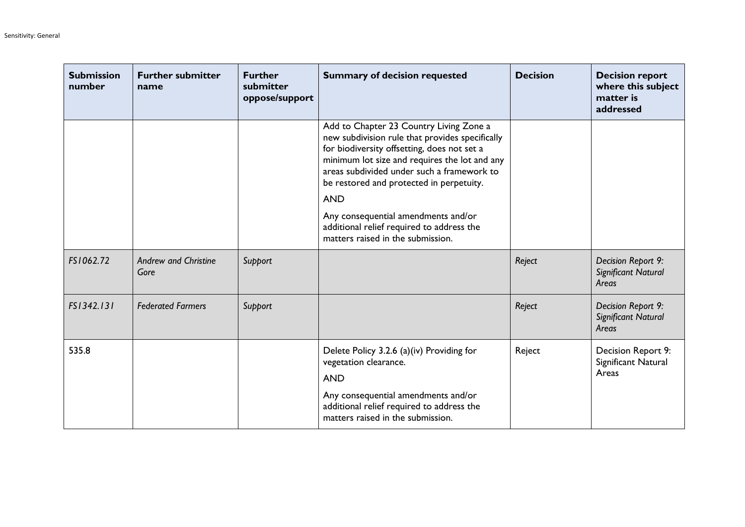| <b>Submission</b><br>number | <b>Further submitter</b><br>name    | <b>Further</b><br>submitter<br>oppose/support | <b>Summary of decision requested</b>                                                                                                                                                                                                                                                                                                                                                                                        | <b>Decision</b> | <b>Decision report</b><br>where this subject<br>matter is<br>addressed |
|-----------------------------|-------------------------------------|-----------------------------------------------|-----------------------------------------------------------------------------------------------------------------------------------------------------------------------------------------------------------------------------------------------------------------------------------------------------------------------------------------------------------------------------------------------------------------------------|-----------------|------------------------------------------------------------------------|
|                             |                                     |                                               | Add to Chapter 23 Country Living Zone a<br>new subdivision rule that provides specifically<br>for biodiversity offsetting, does not set a<br>minimum lot size and requires the lot and any<br>areas subdivided under such a framework to<br>be restored and protected in perpetuity.<br><b>AND</b><br>Any consequential amendments and/or<br>additional relief required to address the<br>matters raised in the submission. |                 |                                                                        |
| FS1062.72                   | <b>Andrew and Christine</b><br>Gore | Support                                       |                                                                                                                                                                                                                                                                                                                                                                                                                             | Reject          | Decision Report 9:<br>Significant Natural<br>Areas                     |
| FS1342.131                  | <b>Federated Farmers</b>            | Support                                       |                                                                                                                                                                                                                                                                                                                                                                                                                             | Reject          | Decision Report 9:<br>Significant Natural<br>Areas                     |
| 535.8                       |                                     |                                               | Delete Policy 3.2.6 (a)(iv) Providing for<br>vegetation clearance.<br><b>AND</b><br>Any consequential amendments and/or<br>additional relief required to address the<br>matters raised in the submission.                                                                                                                                                                                                                   | Reject          | Decision Report 9:<br>Significant Natural<br>Areas                     |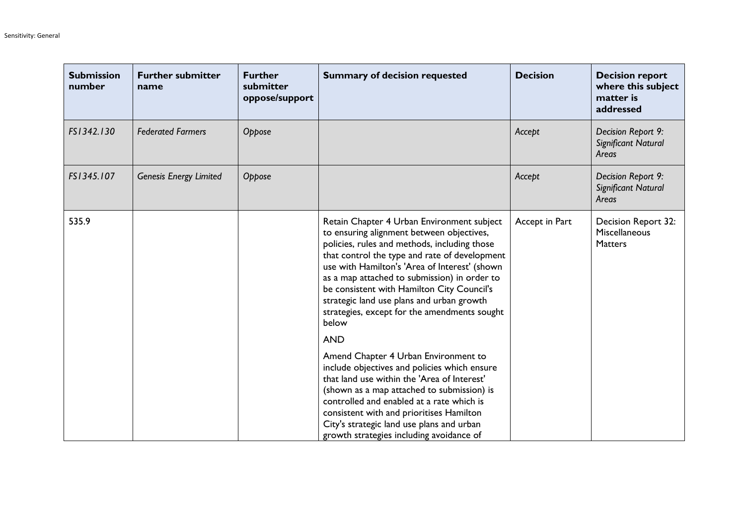| <b>Submission</b><br>number | <b>Further submitter</b><br>name | <b>Further</b><br>submitter<br>oppose/support | <b>Summary of decision requested</b>                                                                                                                                                                                                                                                                                                                                                                                                          | <b>Decision</b> | <b>Decision report</b><br>where this subject<br>matter is<br>addressed |
|-----------------------------|----------------------------------|-----------------------------------------------|-----------------------------------------------------------------------------------------------------------------------------------------------------------------------------------------------------------------------------------------------------------------------------------------------------------------------------------------------------------------------------------------------------------------------------------------------|-----------------|------------------------------------------------------------------------|
| FS1342.130                  | <b>Federated Farmers</b>         | Oppose                                        |                                                                                                                                                                                                                                                                                                                                                                                                                                               | Accept          | Decision Report 9:<br>Significant Natural<br>Areas                     |
| FS1345.107                  | <b>Genesis Energy Limited</b>    | Oppose                                        |                                                                                                                                                                                                                                                                                                                                                                                                                                               | Accept          | Decision Report 9:<br>Significant Natural<br>Areas                     |
| 535.9                       |                                  |                                               | Retain Chapter 4 Urban Environment subject<br>to ensuring alignment between objectives,<br>policies, rules and methods, including those<br>that control the type and rate of development<br>use with Hamilton's 'Area of Interest' (shown<br>as a map attached to submission) in order to<br>be consistent with Hamilton City Council's<br>strategic land use plans and urban growth<br>strategies, except for the amendments sought<br>below | Accept in Part  | Decision Report 32:<br><b>Miscellaneous</b><br><b>Matters</b>          |
|                             |                                  |                                               | <b>AND</b><br>Amend Chapter 4 Urban Environment to<br>include objectives and policies which ensure<br>that land use within the 'Area of Interest'<br>(shown as a map attached to submission) is<br>controlled and enabled at a rate which is<br>consistent with and prioritises Hamilton<br>City's strategic land use plans and urban<br>growth strategies including avoidance of                                                             |                 |                                                                        |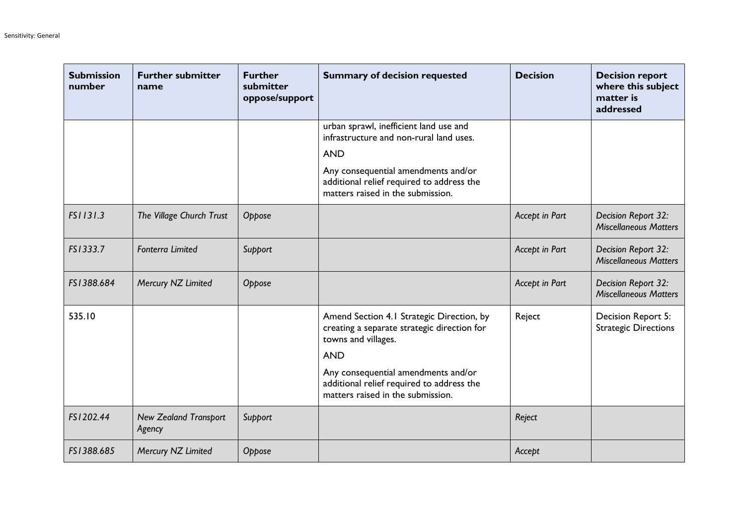| <b>Submission</b><br>number | <b>Further submitter</b><br>name       | <b>Further</b><br>submitter<br>oppose/support | <b>Summary of decision requested</b>                                                                                          | <b>Decision</b> | <b>Decision report</b><br>where this subject<br>matter is<br>addressed |
|-----------------------------|----------------------------------------|-----------------------------------------------|-------------------------------------------------------------------------------------------------------------------------------|-----------------|------------------------------------------------------------------------|
|                             |                                        |                                               | urban sprawl, inefficient land use and<br>infrastructure and non-rural land uses.<br><b>AND</b>                               |                 |                                                                        |
|                             |                                        |                                               | Any consequential amendments and/or<br>additional relief required to address the<br>matters raised in the submission.         |                 |                                                                        |
| FS1131.3                    | The Village Church Trust               | Oppose                                        |                                                                                                                               | Accept in Part  | Decision Report 32:<br><b>Miscellaneous Matters</b>                    |
| FS1333.7                    | <b>Fonterra Limited</b>                | Support                                       |                                                                                                                               | Accept in Part  | Decision Report 32:<br><b>Miscellaneous Matters</b>                    |
| FS1388.684                  | Mercury NZ Limited                     | Oppose                                        |                                                                                                                               | Accept in Part  | Decision Report 32:<br><b>Miscellaneous Matters</b>                    |
| 535.10                      |                                        |                                               | Amend Section 4.1 Strategic Direction, by<br>creating a separate strategic direction for<br>towns and villages.<br><b>AND</b> | Reject          | Decision Report 5:<br><b>Strategic Directions</b>                      |
|                             |                                        |                                               | Any consequential amendments and/or<br>additional relief required to address the<br>matters raised in the submission.         |                 |                                                                        |
| FS1202.44                   | <b>New Zealand Transport</b><br>Agency | Support                                       |                                                                                                                               | Reject          |                                                                        |
| FS1388.685                  | Mercury NZ Limited                     | Oppose                                        |                                                                                                                               | Accept          |                                                                        |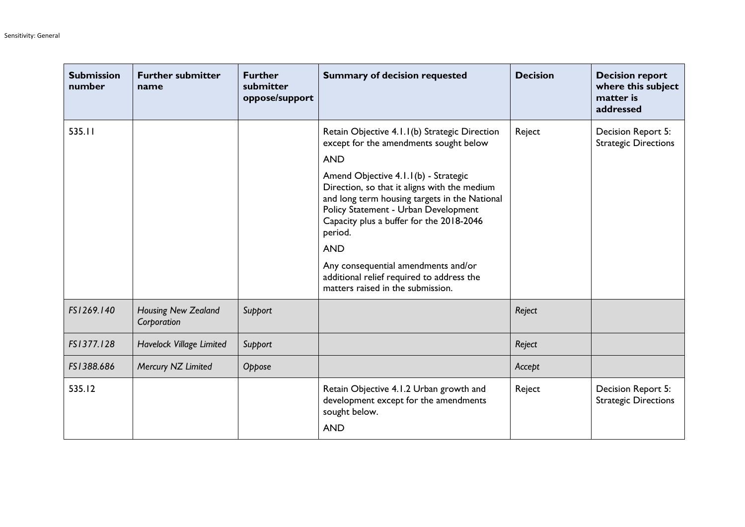| <b>Submission</b><br>number | <b>Further submitter</b><br>name   | <b>Further</b><br>submitter<br>oppose/support | <b>Summary of decision requested</b>                                                                                                                                                                                                 | <b>Decision</b> | <b>Decision report</b><br>where this subject<br>matter is<br>addressed |
|-----------------------------|------------------------------------|-----------------------------------------------|--------------------------------------------------------------------------------------------------------------------------------------------------------------------------------------------------------------------------------------|-----------------|------------------------------------------------------------------------|
| 535.11                      |                                    |                                               | Retain Objective 4.1.1(b) Strategic Direction<br>except for the amendments sought below                                                                                                                                              | Reject          | Decision Report 5:<br><b>Strategic Directions</b>                      |
|                             |                                    |                                               | <b>AND</b>                                                                                                                                                                                                                           |                 |                                                                        |
|                             |                                    |                                               | Amend Objective 4.1.1(b) - Strategic<br>Direction, so that it aligns with the medium<br>and long term housing targets in the National<br>Policy Statement - Urban Development<br>Capacity plus a buffer for the 2018-2046<br>period. |                 |                                                                        |
|                             |                                    |                                               | <b>AND</b>                                                                                                                                                                                                                           |                 |                                                                        |
|                             |                                    |                                               | Any consequential amendments and/or<br>additional relief required to address the<br>matters raised in the submission.                                                                                                                |                 |                                                                        |
| FS1269.140                  | Housing New Zealand<br>Corporation | Support                                       |                                                                                                                                                                                                                                      | Reject          |                                                                        |
| FS1377.128                  | Havelock Village Limited           | Support                                       |                                                                                                                                                                                                                                      | Reject          |                                                                        |
| FS1388.686                  | Mercury NZ Limited                 | Oppose                                        |                                                                                                                                                                                                                                      | Accept          |                                                                        |
| 535.12                      |                                    |                                               | Retain Objective 4.1.2 Urban growth and<br>development except for the amendments<br>sought below.                                                                                                                                    | Reject          | Decision Report 5:<br><b>Strategic Directions</b>                      |
|                             |                                    |                                               | <b>AND</b>                                                                                                                                                                                                                           |                 |                                                                        |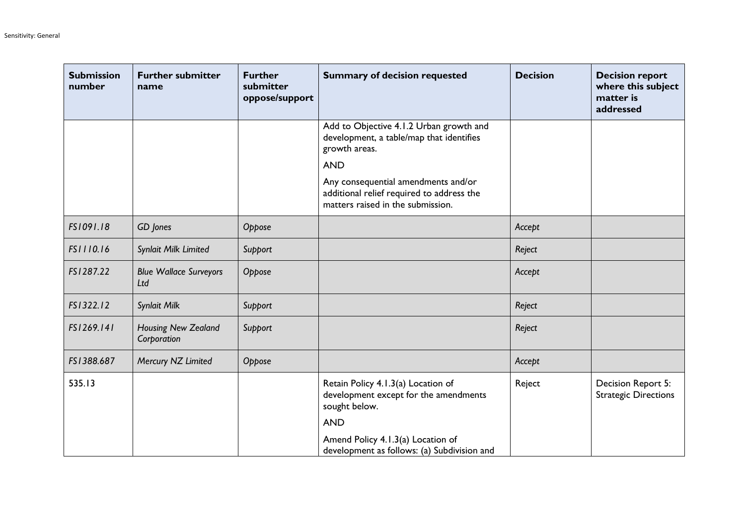| <b>Submission</b><br>number | <b>Further submitter</b><br>name     | <b>Further</b><br>submitter<br>oppose/support | <b>Summary of decision requested</b>                                                                                  | <b>Decision</b> | <b>Decision report</b><br>where this subject<br>matter is<br>addressed |
|-----------------------------|--------------------------------------|-----------------------------------------------|-----------------------------------------------------------------------------------------------------------------------|-----------------|------------------------------------------------------------------------|
|                             |                                      |                                               | Add to Objective 4.1.2 Urban growth and<br>development, a table/map that identifies<br>growth areas.                  |                 |                                                                        |
|                             |                                      |                                               | <b>AND</b>                                                                                                            |                 |                                                                        |
|                             |                                      |                                               | Any consequential amendments and/or<br>additional relief required to address the<br>matters raised in the submission. |                 |                                                                        |
| FS1091.18                   | GD Jones                             | Oppose                                        |                                                                                                                       | Accept          |                                                                        |
| FS1110.16                   | Synlait Milk Limited                 | Support                                       |                                                                                                                       | Reject          |                                                                        |
| FS1287.22                   | <b>Blue Wallace Surveyors</b><br>Ltd | Oppose                                        |                                                                                                                       | Accept          |                                                                        |
| FS1322.12                   | Synlait Milk                         | Support                                       |                                                                                                                       | Reject          |                                                                        |
| FS1269.141                  | Housing New Zealand<br>Corporation   | Support                                       |                                                                                                                       | Reject          |                                                                        |
| FS1388.687                  | Mercury NZ Limited                   | Oppose                                        |                                                                                                                       | Accept          |                                                                        |
| 535.13                      |                                      |                                               | Retain Policy 4.1.3(a) Location of<br>development except for the amendments<br>sought below.                          | Reject          | Decision Report 5:<br><b>Strategic Directions</b>                      |
|                             |                                      |                                               | <b>AND</b>                                                                                                            |                 |                                                                        |
|                             |                                      |                                               | Amend Policy 4.1.3(a) Location of<br>development as follows: (a) Subdivision and                                      |                 |                                                                        |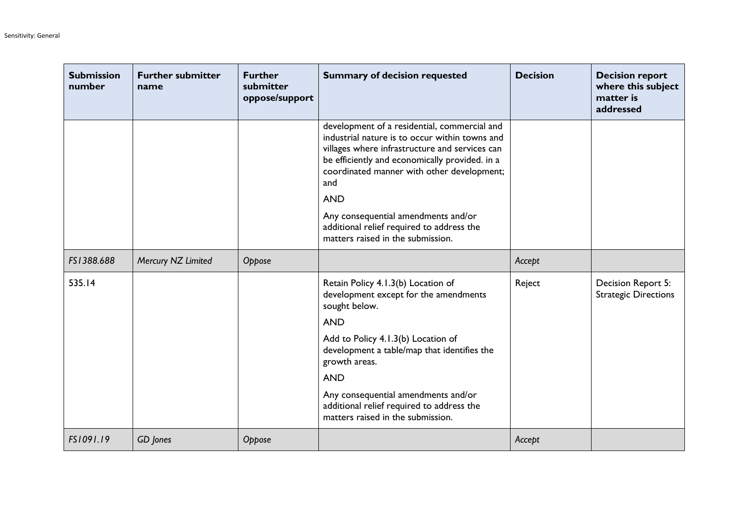| <b>Submission</b><br>number | <b>Further submitter</b><br>name | <b>Further</b><br>submitter<br>oppose/support | <b>Summary of decision requested</b>                                                                                                                                                                                                                                                                                                                                                           | <b>Decision</b> | <b>Decision report</b><br>where this subject<br>matter is<br>addressed |
|-----------------------------|----------------------------------|-----------------------------------------------|------------------------------------------------------------------------------------------------------------------------------------------------------------------------------------------------------------------------------------------------------------------------------------------------------------------------------------------------------------------------------------------------|-----------------|------------------------------------------------------------------------|
|                             |                                  |                                               | development of a residential, commercial and<br>industrial nature is to occur within towns and<br>villages where infrastructure and services can<br>be efficiently and economically provided. in a<br>coordinated manner with other development;<br>and<br><b>AND</b><br>Any consequential amendments and/or<br>additional relief required to address the<br>matters raised in the submission. |                 |                                                                        |
| FS1388.688                  | Mercury NZ Limited               | Oppose                                        |                                                                                                                                                                                                                                                                                                                                                                                                | Accept          |                                                                        |
| 535.14                      |                                  |                                               | Retain Policy 4.1.3(b) Location of<br>development except for the amendments<br>sought below.<br><b>AND</b><br>Add to Policy 4.1.3(b) Location of<br>development a table/map that identifies the<br>growth areas.<br><b>AND</b><br>Any consequential amendments and/or<br>additional relief required to address the<br>matters raised in the submission.                                        | Reject          | Decision Report 5:<br><b>Strategic Directions</b>                      |
| FS1091.19                   | GD Jones                         | Oppose                                        |                                                                                                                                                                                                                                                                                                                                                                                                | Accept          |                                                                        |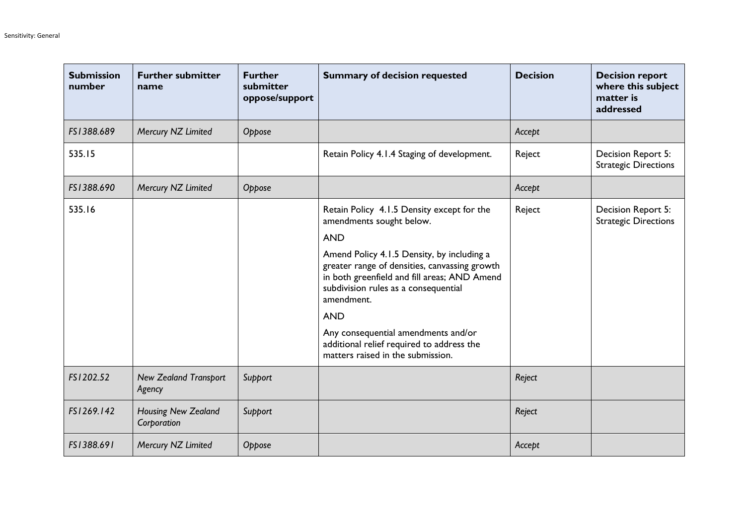| <b>Submission</b><br>number | <b>Further submitter</b><br>name          | <b>Further</b><br>submitter<br>oppose/support | <b>Summary of decision requested</b>                                                                                                                                                              | <b>Decision</b> | <b>Decision report</b><br>where this subject<br>matter is<br>addressed |
|-----------------------------|-------------------------------------------|-----------------------------------------------|---------------------------------------------------------------------------------------------------------------------------------------------------------------------------------------------------|-----------------|------------------------------------------------------------------------|
| FS1388.689                  | Mercury NZ Limited                        | Oppose                                        |                                                                                                                                                                                                   | Accept          |                                                                        |
| 535.15                      |                                           |                                               | Retain Policy 4.1.4 Staging of development.                                                                                                                                                       | Reject          | Decision Report 5:<br><b>Strategic Directions</b>                      |
| FS1388.690                  | Mercury NZ Limited                        | Oppose                                        |                                                                                                                                                                                                   | Accept          |                                                                        |
| 535.16                      |                                           |                                               | Retain Policy 4.1.5 Density except for the<br>amendments sought below.                                                                                                                            | Reject          | Decision Report 5:<br><b>Strategic Directions</b>                      |
|                             |                                           |                                               | <b>AND</b>                                                                                                                                                                                        |                 |                                                                        |
|                             |                                           |                                               | Amend Policy 4.1.5 Density, by including a<br>greater range of densities, canvassing growth<br>in both greenfield and fill areas; AND Amend<br>subdivision rules as a consequential<br>amendment. |                 |                                                                        |
|                             |                                           |                                               | <b>AND</b>                                                                                                                                                                                        |                 |                                                                        |
|                             |                                           |                                               | Any consequential amendments and/or<br>additional relief required to address the<br>matters raised in the submission.                                                                             |                 |                                                                        |
| FS1202.52                   | <b>New Zealand Transport</b><br>Agency    | Support                                       |                                                                                                                                                                                                   | Reject          |                                                                        |
| FS1269.142                  | <b>Housing New Zealand</b><br>Corporation | Support                                       |                                                                                                                                                                                                   | Reject          |                                                                        |
| FS1388.691                  | Mercury NZ Limited                        | Oppose                                        |                                                                                                                                                                                                   | Accept          |                                                                        |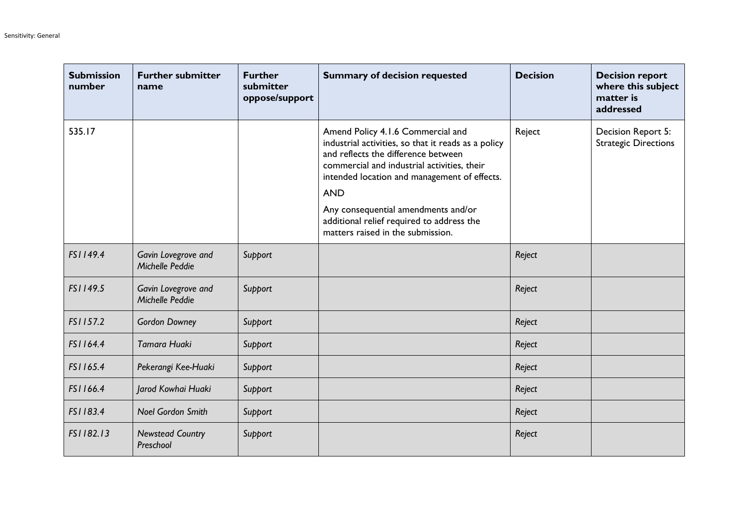| <b>Submission</b><br>number | <b>Further submitter</b><br>name       | <b>Further</b><br>submitter<br>oppose/support | <b>Summary of decision requested</b>                                                                                                                                                                                                                                                                                                                                  | <b>Decision</b> | <b>Decision report</b><br>where this subject<br>matter is<br>addressed |
|-----------------------------|----------------------------------------|-----------------------------------------------|-----------------------------------------------------------------------------------------------------------------------------------------------------------------------------------------------------------------------------------------------------------------------------------------------------------------------------------------------------------------------|-----------------|------------------------------------------------------------------------|
| 535.17                      |                                        |                                               | Amend Policy 4.1.6 Commercial and<br>industrial activities, so that it reads as a policy<br>and reflects the difference between<br>commercial and industrial activities, their<br>intended location and management of effects.<br><b>AND</b><br>Any consequential amendments and/or<br>additional relief required to address the<br>matters raised in the submission. | Reject          | Decision Report 5:<br><b>Strategic Directions</b>                      |
| FS1149.4                    | Gavin Lovegrove and<br>Michelle Peddie | Support                                       |                                                                                                                                                                                                                                                                                                                                                                       | Reject          |                                                                        |
| FS1149.5                    | Gavin Lovegrove and<br>Michelle Peddie | Support                                       |                                                                                                                                                                                                                                                                                                                                                                       | Reject          |                                                                        |
| FS1157.2                    | <b>Gordon Downey</b>                   | Support                                       |                                                                                                                                                                                                                                                                                                                                                                       | Reject          |                                                                        |
| FS1164.4                    | Tamara Huaki                           | Support                                       |                                                                                                                                                                                                                                                                                                                                                                       | Reject          |                                                                        |
| FS1165.4                    | Pekerangi Kee-Huaki                    | Support                                       |                                                                                                                                                                                                                                                                                                                                                                       | Reject          |                                                                        |
| FS1166.4                    | Jarod Kowhai Huaki                     | Support                                       |                                                                                                                                                                                                                                                                                                                                                                       | Reject          |                                                                        |
| FS1183.4                    | <b>Noel Gordon Smith</b>               | Support                                       |                                                                                                                                                                                                                                                                                                                                                                       | Reject          |                                                                        |
| FS1182.13                   | <b>Newstead Country</b><br>Preschool   | Support                                       |                                                                                                                                                                                                                                                                                                                                                                       | Reject          |                                                                        |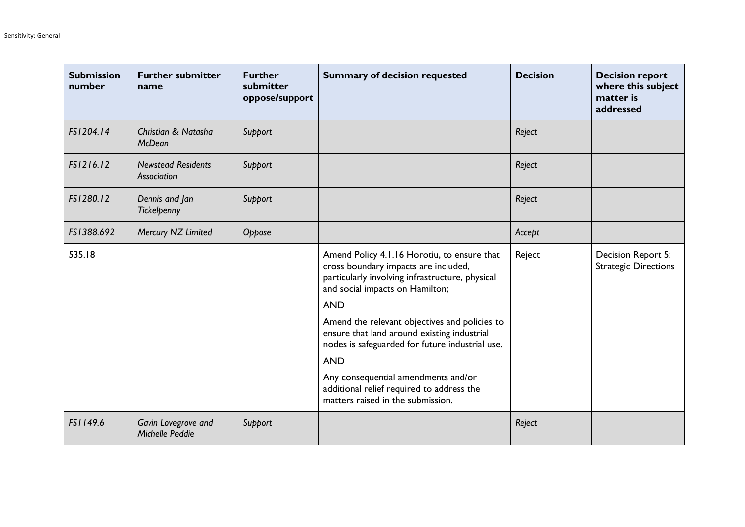| <b>Submission</b><br>number | <b>Further submitter</b><br>name                | <b>Further</b><br>submitter<br>oppose/support | <b>Summary of decision requested</b>                                                                                                                                      | <b>Decision</b> | <b>Decision report</b><br>where this subject<br>matter is<br>addressed |
|-----------------------------|-------------------------------------------------|-----------------------------------------------|---------------------------------------------------------------------------------------------------------------------------------------------------------------------------|-----------------|------------------------------------------------------------------------|
| FS1204.14                   | <b>Christian &amp; Natasha</b><br><b>McDean</b> | Support                                       |                                                                                                                                                                           | Reject          |                                                                        |
| FS1216.12                   | <b>Newstead Residents</b><br>Association        | Support                                       |                                                                                                                                                                           | Reject          |                                                                        |
| FS1280.12                   | Dennis and Jan<br>Tickelpenny                   | Support                                       |                                                                                                                                                                           | Reject          |                                                                        |
| FS1388.692                  | Mercury NZ Limited                              | Oppose                                        |                                                                                                                                                                           | Accept          |                                                                        |
| 535.18                      |                                                 |                                               | Amend Policy 4.1.16 Horotiu, to ensure that<br>cross boundary impacts are included,<br>particularly involving infrastructure, physical<br>and social impacts on Hamilton; | Reject          | Decision Report 5:<br><b>Strategic Directions</b>                      |
|                             |                                                 |                                               | <b>AND</b>                                                                                                                                                                |                 |                                                                        |
|                             |                                                 |                                               | Amend the relevant objectives and policies to<br>ensure that land around existing industrial<br>nodes is safeguarded for future industrial use.                           |                 |                                                                        |
|                             |                                                 |                                               | <b>AND</b>                                                                                                                                                                |                 |                                                                        |
|                             |                                                 |                                               | Any consequential amendments and/or<br>additional relief required to address the<br>matters raised in the submission.                                                     |                 |                                                                        |
| FS1149.6                    | Gavin Lovegrove and<br>Michelle Peddie          | Support                                       |                                                                                                                                                                           | Reject          |                                                                        |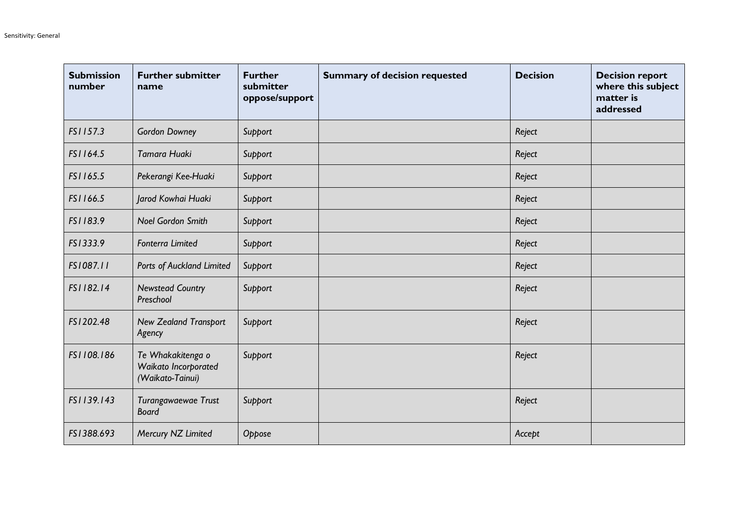| <b>Submission</b><br>number | <b>Further submitter</b><br>name                              | <b>Further</b><br>submitter<br>oppose/support | <b>Summary of decision requested</b> | <b>Decision</b> | <b>Decision report</b><br>where this subject<br>matter is<br>addressed |
|-----------------------------|---------------------------------------------------------------|-----------------------------------------------|--------------------------------------|-----------------|------------------------------------------------------------------------|
| FS1157.3                    | <b>Gordon Downey</b>                                          | Support                                       |                                      | Reject          |                                                                        |
| FS1164.5                    | Tamara Huaki                                                  | Support                                       |                                      | Reject          |                                                                        |
| FS1165.5                    | Pekerangi Kee-Huaki                                           | Support                                       |                                      | Reject          |                                                                        |
| FS1166.5                    | Jarod Kowhai Huaki                                            | Support                                       |                                      | Reject          |                                                                        |
| FS1183.9                    | <b>Noel Gordon Smith</b>                                      | Support                                       |                                      | Reject          |                                                                        |
| FS1333.9                    | <b>Fonterra Limited</b>                                       | Support                                       |                                      | Reject          |                                                                        |
| FS1087.11                   | Ports of Auckland Limited                                     | Support                                       |                                      | Reject          |                                                                        |
| FS1182.14                   | <b>Newstead Country</b><br>Preschool                          | Support                                       |                                      | Reject          |                                                                        |
| FS1202.48                   | <b>New Zealand Transport</b><br>Agency                        | Support                                       |                                      | Reject          |                                                                        |
| FS1108.186                  | Te Whakakitenga o<br>Waikato Incorporated<br>(Waikato-Tainui) | Support                                       |                                      | Reject          |                                                                        |
| FS1139.143                  | Turangawaewae Trust<br><b>Board</b>                           | Support                                       |                                      | Reject          |                                                                        |
| FS1388.693                  | Mercury NZ Limited                                            | Oppose                                        |                                      | Accept          |                                                                        |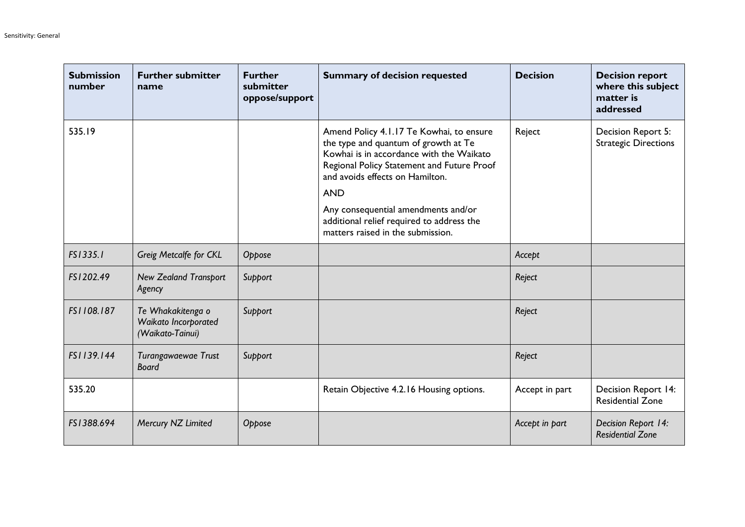| <b>Submission</b><br>number | <b>Further submitter</b><br>name                              | <b>Further</b><br>submitter<br>oppose/support | <b>Summary of decision requested</b>                                                                                                                                                                                                                               | <b>Decision</b> | <b>Decision report</b><br>where this subject<br>matter is<br>addressed |
|-----------------------------|---------------------------------------------------------------|-----------------------------------------------|--------------------------------------------------------------------------------------------------------------------------------------------------------------------------------------------------------------------------------------------------------------------|-----------------|------------------------------------------------------------------------|
| 535.19                      |                                                               |                                               | Amend Policy 4.1.17 Te Kowhai, to ensure<br>the type and quantum of growth at Te<br>Kowhai is in accordance with the Waikato<br>Regional Policy Statement and Future Proof<br>and avoids effects on Hamilton.<br><b>AND</b><br>Any consequential amendments and/or | Reject          | Decision Report 5:<br><b>Strategic Directions</b>                      |
|                             |                                                               |                                               | additional relief required to address the<br>matters raised in the submission.                                                                                                                                                                                     |                 |                                                                        |
| FS1335.1                    | Greig Metcalfe for CKL                                        | Oppose                                        |                                                                                                                                                                                                                                                                    | Accept          |                                                                        |
| FS1202.49                   | <b>New Zealand Transport</b><br>Agency                        | Support                                       |                                                                                                                                                                                                                                                                    | Reject          |                                                                        |
| FS1108.187                  | Te Whakakitenga o<br>Waikato Incorporated<br>(Waikato-Tainui) | Support                                       |                                                                                                                                                                                                                                                                    | Reject          |                                                                        |
| FS1139.144                  | Turangawaewae Trust<br><b>Board</b>                           | Support                                       |                                                                                                                                                                                                                                                                    | Reject          |                                                                        |
| 535.20                      |                                                               |                                               | Retain Objective 4.2.16 Housing options.                                                                                                                                                                                                                           | Accept in part  | Decision Report 14:<br><b>Residential Zone</b>                         |
| FS1388.694                  | Mercury NZ Limited                                            | Oppose                                        |                                                                                                                                                                                                                                                                    | Accept in part  | Decision Report 14:<br><b>Residential Zone</b>                         |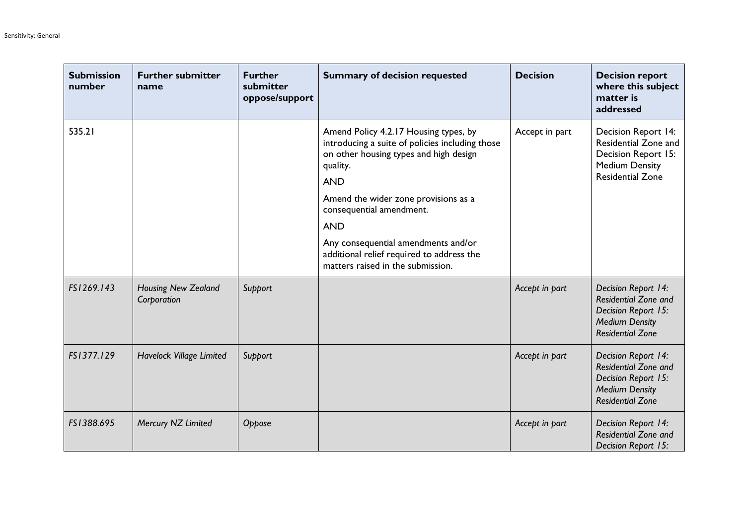| <b>Submission</b><br>number | <b>Further submitter</b><br>name          | <b>Further</b><br>submitter<br>oppose/support | <b>Summary of decision requested</b>                                                                                                                                                                                             | <b>Decision</b> | <b>Decision report</b><br>where this subject<br>matter is<br>addressed                                                 |
|-----------------------------|-------------------------------------------|-----------------------------------------------|----------------------------------------------------------------------------------------------------------------------------------------------------------------------------------------------------------------------------------|-----------------|------------------------------------------------------------------------------------------------------------------------|
| 535.21                      |                                           |                                               | Amend Policy 4.2.17 Housing types, by<br>introducing a suite of policies including those<br>on other housing types and high design<br>quality.<br><b>AND</b><br>Amend the wider zone provisions as a<br>consequential amendment. | Accept in part  | Decision Report 14:<br>Residential Zone and<br>Decision Report 15:<br><b>Medium Density</b><br><b>Residential Zone</b> |
|                             |                                           |                                               | <b>AND</b><br>Any consequential amendments and/or<br>additional relief required to address the<br>matters raised in the submission.                                                                                              |                 |                                                                                                                        |
| FS1269.143                  | <b>Housing New Zealand</b><br>Corporation | Support                                       |                                                                                                                                                                                                                                  | Accept in part  | Decision Report 14:<br>Residential Zone and<br>Decision Report 15:<br><b>Medium Density</b><br><b>Residential Zone</b> |
| FS1377.129                  | Havelock Village Limited                  | Support                                       |                                                                                                                                                                                                                                  | Accept in part  | Decision Report 14:<br>Residential Zone and<br>Decision Report 15:<br><b>Medium Density</b><br><b>Residential Zone</b> |
| FS1388.695                  | Mercury NZ Limited                        | Oppose                                        |                                                                                                                                                                                                                                  | Accept in part  | Decision Report 14:<br><b>Residential Zone and</b><br>Decision Report 15:                                              |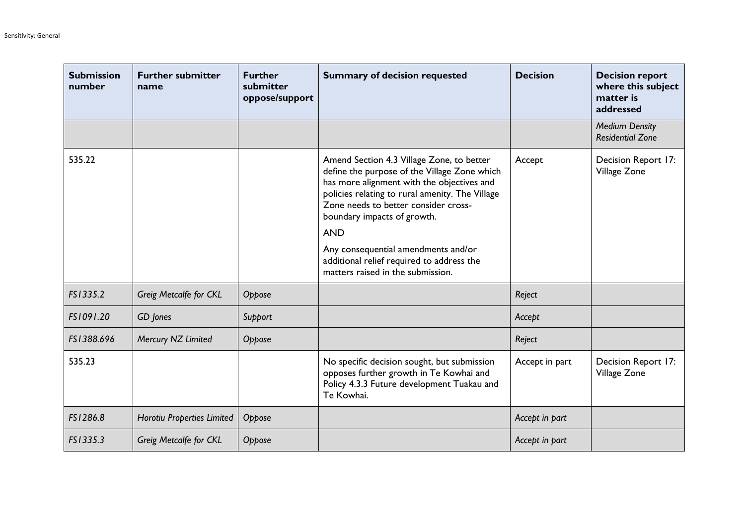| <b>Submission</b><br>number | <b>Further submitter</b><br>name | <b>Further</b><br>submitter<br>oppose/support | <b>Summary of decision requested</b>                                                                                                                                                                                                                                                                                                                                                                     | <b>Decision</b> | <b>Decision report</b><br>where this subject<br>matter is<br>addressed |
|-----------------------------|----------------------------------|-----------------------------------------------|----------------------------------------------------------------------------------------------------------------------------------------------------------------------------------------------------------------------------------------------------------------------------------------------------------------------------------------------------------------------------------------------------------|-----------------|------------------------------------------------------------------------|
|                             |                                  |                                               |                                                                                                                                                                                                                                                                                                                                                                                                          |                 | <b>Medium Density</b><br><b>Residential Zone</b>                       |
| 535.22                      |                                  |                                               | Amend Section 4.3 Village Zone, to better<br>define the purpose of the Village Zone which<br>has more alignment with the objectives and<br>policies relating to rural amenity. The Village<br>Zone needs to better consider cross-<br>boundary impacts of growth.<br><b>AND</b><br>Any consequential amendments and/or<br>additional relief required to address the<br>matters raised in the submission. | Accept          | Decision Report 17:<br>Village Zone                                    |
| FS1335.2                    | Greig Metcalfe for CKL           | Oppose                                        |                                                                                                                                                                                                                                                                                                                                                                                                          | Reject          |                                                                        |
| FS1091.20                   | GD Jones                         | Support                                       |                                                                                                                                                                                                                                                                                                                                                                                                          | Accept          |                                                                        |
| FS1388.696                  | Mercury NZ Limited               | Oppose                                        |                                                                                                                                                                                                                                                                                                                                                                                                          | Reject          |                                                                        |
| 535.23                      |                                  |                                               | No specific decision sought, but submission<br>opposes further growth in Te Kowhai and<br>Policy 4.3.3 Future development Tuakau and<br>Te Kowhai.                                                                                                                                                                                                                                                       | Accept in part  | Decision Report 17:<br>Village Zone                                    |
| FS1286.8                    | Horotiu Properties Limited       | Oppose                                        |                                                                                                                                                                                                                                                                                                                                                                                                          | Accept in part  |                                                                        |
| FS1335.3                    | Greig Metcalfe for CKL           | Oppose                                        |                                                                                                                                                                                                                                                                                                                                                                                                          | Accept in part  |                                                                        |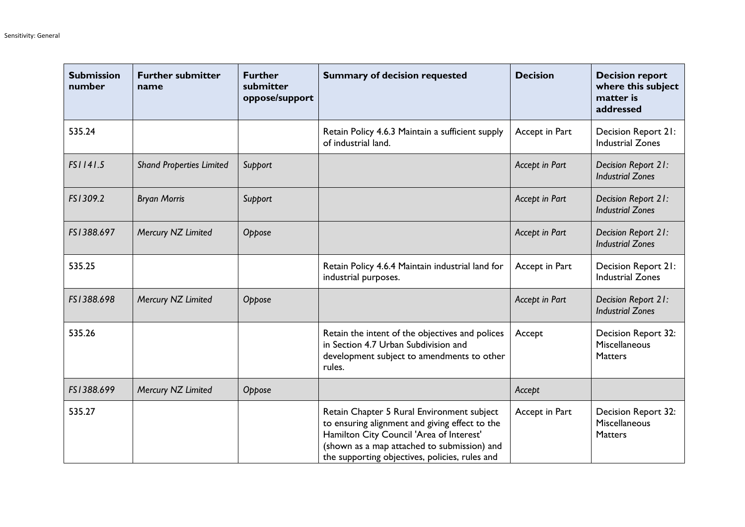| <b>Submission</b><br>number | <b>Further submitter</b><br>name | <b>Further</b><br>submitter<br>oppose/support | <b>Summary of decision requested</b>                                                                                                                                                                                                      | <b>Decision</b> | <b>Decision report</b><br>where this subject<br>matter is<br>addressed |
|-----------------------------|----------------------------------|-----------------------------------------------|-------------------------------------------------------------------------------------------------------------------------------------------------------------------------------------------------------------------------------------------|-----------------|------------------------------------------------------------------------|
| 535.24                      |                                  |                                               | Retain Policy 4.6.3 Maintain a sufficient supply<br>of industrial land.                                                                                                                                                                   | Accept in Part  | Decision Report 21:<br><b>Industrial Zones</b>                         |
| FS1141.5                    | <b>Shand Properties Limited</b>  | Support                                       |                                                                                                                                                                                                                                           | Accept in Part  | Decision Report 21:<br><b>Industrial Zones</b>                         |
| FS1309.2                    | <b>Bryan Morris</b>              | Support                                       |                                                                                                                                                                                                                                           | Accept in Part  | Decision Report 21:<br><b>Industrial Zones</b>                         |
| FS1388.697                  | Mercury NZ Limited               | Oppose                                        |                                                                                                                                                                                                                                           | Accept in Part  | Decision Report 21:<br><b>Industrial Zones</b>                         |
| 535.25                      |                                  |                                               | Retain Policy 4.6.4 Maintain industrial land for<br>industrial purposes.                                                                                                                                                                  | Accept in Part  | Decision Report 21:<br><b>Industrial Zones</b>                         |
| FS1388.698                  | Mercury NZ Limited               | Oppose                                        |                                                                                                                                                                                                                                           | Accept in Part  | Decision Report 21:<br><b>Industrial Zones</b>                         |
| 535.26                      |                                  |                                               | Retain the intent of the objectives and polices<br>in Section 4.7 Urban Subdivision and<br>development subject to amendments to other<br>rules.                                                                                           | Accept          | Decision Report 32:<br>Miscellaneous<br><b>Matters</b>                 |
| FS1388.699                  | Mercury NZ Limited               | Oppose                                        |                                                                                                                                                                                                                                           | Accept          |                                                                        |
| 535.27                      |                                  |                                               | Retain Chapter 5 Rural Environment subject<br>to ensuring alignment and giving effect to the<br>Hamilton City Council 'Area of Interest'<br>(shown as a map attached to submission) and<br>the supporting objectives, policies, rules and | Accept in Part  | Decision Report 32:<br>Miscellaneous<br>Matters                        |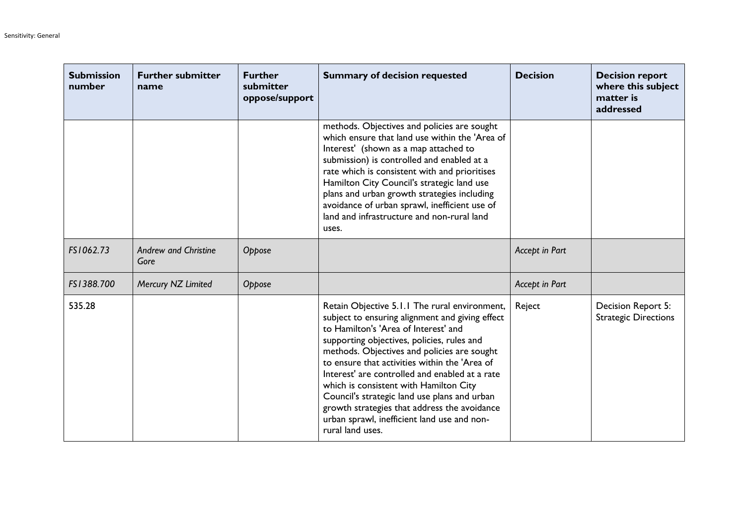| <b>Submission</b><br>number | <b>Further submitter</b><br>name    | <b>Further</b><br>submitter<br>oppose/support | <b>Summary of decision requested</b>                                                                                                                                                                                                                                                                                                                                                                                                                                                                                                                  | <b>Decision</b> | <b>Decision report</b><br>where this subject<br>matter is<br>addressed |
|-----------------------------|-------------------------------------|-----------------------------------------------|-------------------------------------------------------------------------------------------------------------------------------------------------------------------------------------------------------------------------------------------------------------------------------------------------------------------------------------------------------------------------------------------------------------------------------------------------------------------------------------------------------------------------------------------------------|-----------------|------------------------------------------------------------------------|
|                             |                                     |                                               | methods. Objectives and policies are sought<br>which ensure that land use within the 'Area of<br>Interest' (shown as a map attached to<br>submission) is controlled and enabled at a<br>rate which is consistent with and prioritises<br>Hamilton City Council's strategic land use<br>plans and urban growth strategies including<br>avoidance of urban sprawl, inefficient use of<br>land and infrastructure and non-rural land<br>uses.                                                                                                            |                 |                                                                        |
| FS1062.73                   | <b>Andrew and Christine</b><br>Gore | Oppose                                        |                                                                                                                                                                                                                                                                                                                                                                                                                                                                                                                                                       | Accept in Part  |                                                                        |
| FS1388.700                  | Mercury NZ Limited                  | Oppose                                        |                                                                                                                                                                                                                                                                                                                                                                                                                                                                                                                                                       | Accept in Part  |                                                                        |
| 535.28                      |                                     |                                               | Retain Objective 5.1.1 The rural environment,<br>subject to ensuring alignment and giving effect<br>to Hamilton's 'Area of Interest' and<br>supporting objectives, policies, rules and<br>methods. Objectives and policies are sought<br>to ensure that activities within the 'Area of<br>Interest' are controlled and enabled at a rate<br>which is consistent with Hamilton City<br>Council's strategic land use plans and urban<br>growth strategies that address the avoidance<br>urban sprawl, inefficient land use and non-<br>rural land uses. | Reject          | Decision Report 5:<br><b>Strategic Directions</b>                      |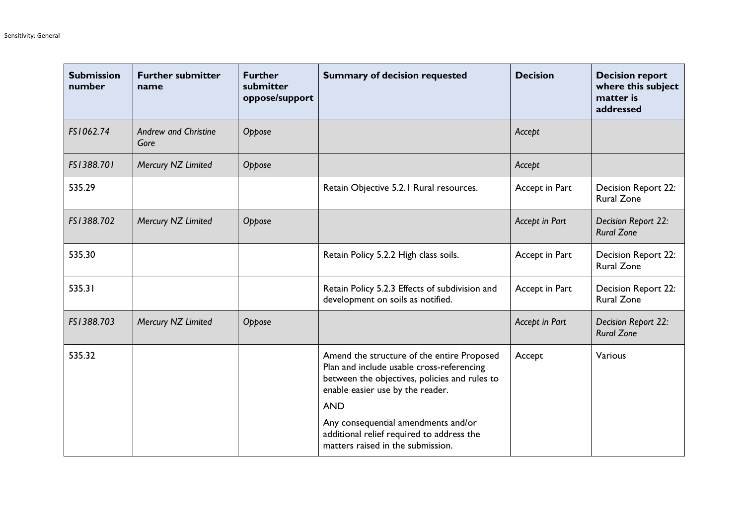| <b>Submission</b><br>number | <b>Further submitter</b><br>name    | <b>Further</b><br>submitter<br>oppose/support | <b>Summary of decision requested</b>                                                                                                                                                       | <b>Decision</b> | <b>Decision report</b><br>where this subject<br>matter is<br>addressed |
|-----------------------------|-------------------------------------|-----------------------------------------------|--------------------------------------------------------------------------------------------------------------------------------------------------------------------------------------------|-----------------|------------------------------------------------------------------------|
| FS1062.74                   | <b>Andrew and Christine</b><br>Gore | Oppose                                        |                                                                                                                                                                                            | Accept          |                                                                        |
| FS1388.701                  | Mercury NZ Limited                  | Oppose                                        |                                                                                                                                                                                            | Accept          |                                                                        |
| 535.29                      |                                     |                                               | Retain Objective 5.2.1 Rural resources.                                                                                                                                                    | Accept in Part  | Decision Report 22:<br><b>Rural Zone</b>                               |
| FS1388.702                  | Mercury NZ Limited                  | Oppose                                        |                                                                                                                                                                                            | Accept in Part  | Decision Report 22:<br><b>Rural Zone</b>                               |
| 535.30                      |                                     |                                               | Retain Policy 5.2.2 High class soils.                                                                                                                                                      | Accept in Part  | Decision Report 22:<br><b>Rural Zone</b>                               |
| 535.31                      |                                     |                                               | Retain Policy 5.2.3 Effects of subdivision and<br>development on soils as notified.                                                                                                        | Accept in Part  | Decision Report 22:<br><b>Rural Zone</b>                               |
| FS1388.703                  | Mercury NZ Limited                  | Oppose                                        |                                                                                                                                                                                            | Accept in Part  | Decision Report 22:<br><b>Rural Zone</b>                               |
| 535.32                      |                                     |                                               | Amend the structure of the entire Proposed<br>Plan and include usable cross-referencing<br>between the objectives, policies and rules to<br>enable easier use by the reader.<br><b>AND</b> | Accept          | Various                                                                |
|                             |                                     |                                               | Any consequential amendments and/or<br>additional relief required to address the<br>matters raised in the submission.                                                                      |                 |                                                                        |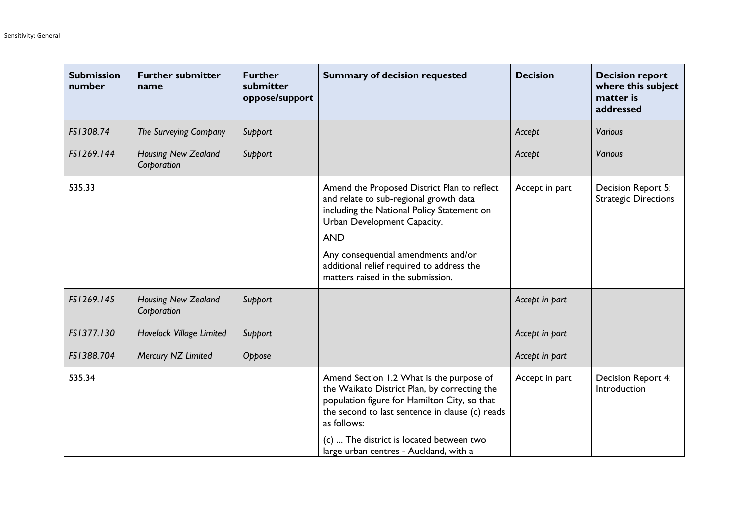| <b>Submission</b><br>number | <b>Further submitter</b><br>name          | <b>Further</b><br>submitter<br>oppose/support | <b>Summary of decision requested</b>                                                                                                                                                                                                                                                                      | <b>Decision</b> | <b>Decision report</b><br>where this subject<br>matter is<br>addressed |
|-----------------------------|-------------------------------------------|-----------------------------------------------|-----------------------------------------------------------------------------------------------------------------------------------------------------------------------------------------------------------------------------------------------------------------------------------------------------------|-----------------|------------------------------------------------------------------------|
| FS1308.74                   | The Surveying Company                     | Support                                       |                                                                                                                                                                                                                                                                                                           | Accept          | Various                                                                |
| FS1269.144                  | <b>Housing New Zealand</b><br>Corporation | Support                                       |                                                                                                                                                                                                                                                                                                           | Accept          | Various                                                                |
| 535.33                      |                                           |                                               | Amend the Proposed District Plan to reflect<br>and relate to sub-regional growth data<br>including the National Policy Statement on<br>Urban Development Capacity.<br><b>AND</b><br>Any consequential amendments and/or<br>additional relief required to address the<br>matters raised in the submission. | Accept in part  | Decision Report 5:<br><b>Strategic Directions</b>                      |
| FS1269.145                  | <b>Housing New Zealand</b><br>Corporation | Support                                       |                                                                                                                                                                                                                                                                                                           | Accept in part  |                                                                        |
| FS1377.130                  | Havelock Village Limited                  | Support                                       |                                                                                                                                                                                                                                                                                                           | Accept in part  |                                                                        |
| FS1388.704                  | Mercury NZ Limited                        | Oppose                                        |                                                                                                                                                                                                                                                                                                           | Accept in part  |                                                                        |
| 535.34                      |                                           |                                               | Amend Section 1.2 What is the purpose of<br>the Waikato District Plan, by correcting the<br>population figure for Hamilton City, so that<br>the second to last sentence in clause (c) reads<br>as follows:<br>(c)  The district is located between two<br>large urban centres - Auckland, with a          | Accept in part  | Decision Report 4:<br>Introduction                                     |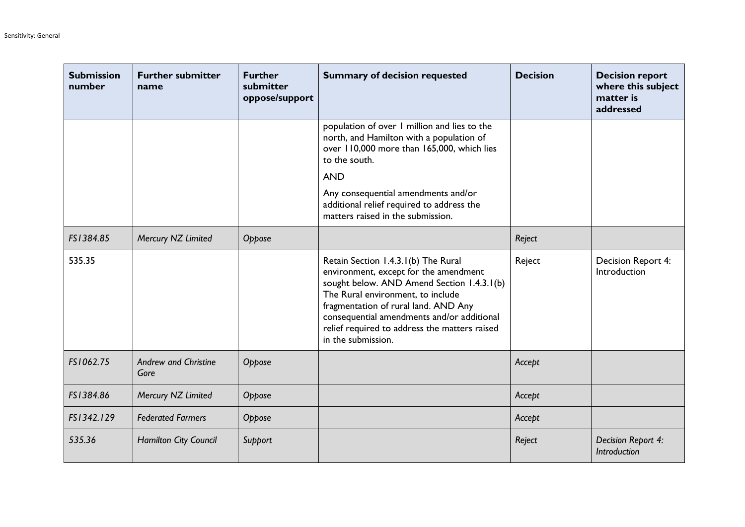| <b>Submission</b><br>number | <b>Further submitter</b><br>name    | <b>Further</b><br>submitter<br>oppose/support | <b>Summary of decision requested</b>                                                                                                                                                                                                                                                                                         | <b>Decision</b> | <b>Decision report</b><br>where this subject<br>matter is<br>addressed |
|-----------------------------|-------------------------------------|-----------------------------------------------|------------------------------------------------------------------------------------------------------------------------------------------------------------------------------------------------------------------------------------------------------------------------------------------------------------------------------|-----------------|------------------------------------------------------------------------|
|                             |                                     |                                               | population of over 1 million and lies to the<br>north, and Hamilton with a population of<br>over 110,000 more than 165,000, which lies<br>to the south.                                                                                                                                                                      |                 |                                                                        |
|                             |                                     |                                               | <b>AND</b>                                                                                                                                                                                                                                                                                                                   |                 |                                                                        |
|                             |                                     |                                               | Any consequential amendments and/or<br>additional relief required to address the<br>matters raised in the submission.                                                                                                                                                                                                        |                 |                                                                        |
| FS1384.85                   | Mercury NZ Limited                  | Oppose                                        |                                                                                                                                                                                                                                                                                                                              | Reject          |                                                                        |
| 535.35                      |                                     |                                               | Retain Section 1.4.3.1(b) The Rural<br>environment, except for the amendment<br>sought below. AND Amend Section 1.4.3.1(b)<br>The Rural environment, to include<br>fragmentation of rural land. AND Any<br>consequential amendments and/or additional<br>relief required to address the matters raised<br>in the submission. | Reject          | Decision Report 4:<br>Introduction                                     |
| FS1062.75                   | <b>Andrew and Christine</b><br>Gore | Oppose                                        |                                                                                                                                                                                                                                                                                                                              | Accept          |                                                                        |
| FS1384.86                   | Mercury NZ Limited                  | Oppose                                        |                                                                                                                                                                                                                                                                                                                              | Accept          |                                                                        |
| FS1342.129                  | <b>Federated Farmers</b>            | Oppose                                        |                                                                                                                                                                                                                                                                                                                              | Accept          |                                                                        |
| 535.36                      | Hamilton City Council               | Support                                       |                                                                                                                                                                                                                                                                                                                              | Reject          | Decision Report 4:<br><b>Introduction</b>                              |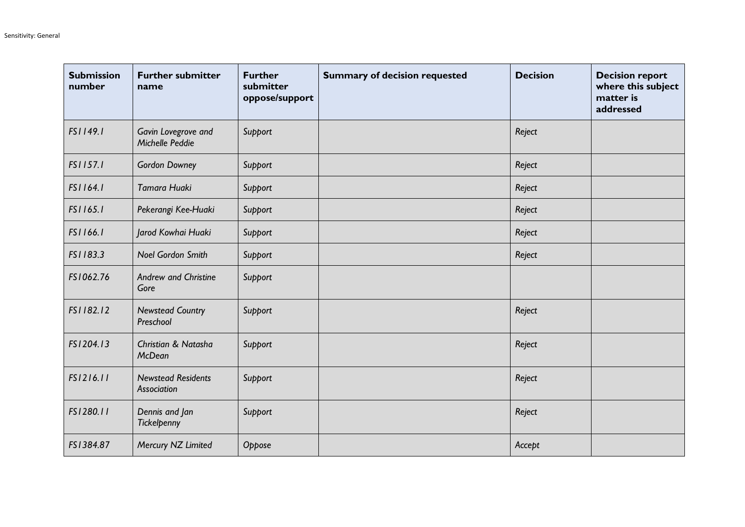| <b>Submission</b><br>number | <b>Further submitter</b><br>name                | <b>Further</b><br>submitter<br>oppose/support | <b>Summary of decision requested</b> | <b>Decision</b> | <b>Decision report</b><br>where this subject<br>matter is<br>addressed |
|-----------------------------|-------------------------------------------------|-----------------------------------------------|--------------------------------------|-----------------|------------------------------------------------------------------------|
| FS1149.1                    | Gavin Lovegrove and<br>Michelle Peddie          | Support                                       |                                      | Reject          |                                                                        |
| FS1157.1                    | <b>Gordon Downey</b>                            | Support                                       |                                      | Reject          |                                                                        |
| FS1164.1                    | Tamara Huaki                                    | Support                                       |                                      | Reject          |                                                                        |
| FS1165.1                    | Pekerangi Kee-Huaki                             | Support                                       |                                      | Reject          |                                                                        |
| FS1166.1                    | Jarod Kowhai Huaki                              | Support                                       |                                      | Reject          |                                                                        |
| FS1183.3                    | <b>Noel Gordon Smith</b>                        | Support                                       |                                      | Reject          |                                                                        |
| FS1062.76                   | <b>Andrew and Christine</b><br>Gore             | Support                                       |                                      |                 |                                                                        |
| FS1182.12                   | <b>Newstead Country</b><br>Preschool            | Support                                       |                                      | Reject          |                                                                        |
| FS1204.13                   | <b>Christian &amp; Natasha</b><br><b>McDean</b> | Support                                       |                                      | Reject          |                                                                        |
| FS1216.11                   | <b>Newstead Residents</b><br>Association        | Support                                       |                                      | Reject          |                                                                        |
| FS1280.11                   | Dennis and Jan<br>Tickelpenny                   | Support                                       |                                      | Reject          |                                                                        |
| FS1384.87                   | Mercury NZ Limited                              | Oppose                                        |                                      | Accept          |                                                                        |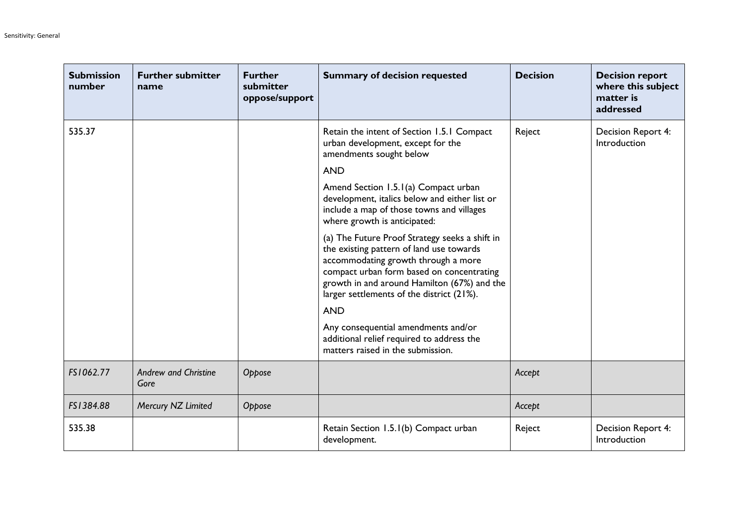| <b>Submission</b><br>number | <b>Further submitter</b><br>name    | <b>Further</b><br>submitter<br>oppose/support | <b>Summary of decision requested</b>                                                                                                                                                                                                                                       | <b>Decision</b> | <b>Decision report</b><br>where this subject<br>matter is<br>addressed |
|-----------------------------|-------------------------------------|-----------------------------------------------|----------------------------------------------------------------------------------------------------------------------------------------------------------------------------------------------------------------------------------------------------------------------------|-----------------|------------------------------------------------------------------------|
| 535.37                      |                                     |                                               | Retain the intent of Section 1.5.1 Compact<br>urban development, except for the<br>amendments sought below                                                                                                                                                                 | Reject          | Decision Report 4:<br>Introduction                                     |
|                             |                                     |                                               | <b>AND</b>                                                                                                                                                                                                                                                                 |                 |                                                                        |
|                             |                                     |                                               | Amend Section 1.5.1(a) Compact urban<br>development, italics below and either list or<br>include a map of those towns and villages<br>where growth is anticipated:                                                                                                         |                 |                                                                        |
|                             |                                     |                                               | (a) The Future Proof Strategy seeks a shift in<br>the existing pattern of land use towards<br>accommodating growth through a more<br>compact urban form based on concentrating<br>growth in and around Hamilton (67%) and the<br>larger settlements of the district (21%). |                 |                                                                        |
|                             |                                     |                                               | <b>AND</b>                                                                                                                                                                                                                                                                 |                 |                                                                        |
|                             |                                     |                                               | Any consequential amendments and/or<br>additional relief required to address the<br>matters raised in the submission.                                                                                                                                                      |                 |                                                                        |
| FS1062.77                   | <b>Andrew and Christine</b><br>Gore | Oppose                                        |                                                                                                                                                                                                                                                                            | Accept          |                                                                        |
| FS1384.88                   | Mercury NZ Limited                  | Oppose                                        |                                                                                                                                                                                                                                                                            | Accept          |                                                                        |
| 535.38                      |                                     |                                               | Retain Section 1.5.1(b) Compact urban<br>development.                                                                                                                                                                                                                      | Reject          | Decision Report 4:<br>Introduction                                     |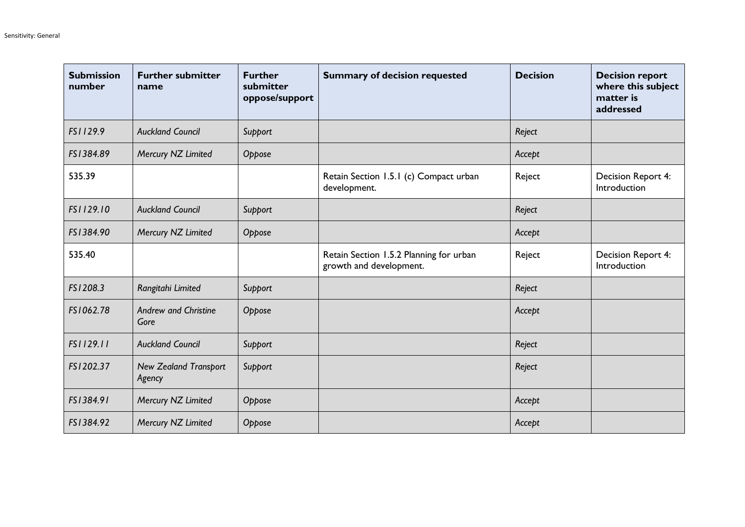| <b>Submission</b><br>number | <b>Further submitter</b><br>name       | <b>Further</b><br>submitter<br>oppose/support | <b>Summary of decision requested</b>                               | <b>Decision</b> | <b>Decision report</b><br>where this subject<br>matter is<br>addressed |
|-----------------------------|----------------------------------------|-----------------------------------------------|--------------------------------------------------------------------|-----------------|------------------------------------------------------------------------|
| FS1129.9                    | <b>Auckland Council</b>                | Support                                       |                                                                    | Reject          |                                                                        |
| FS1384.89                   | Mercury NZ Limited                     | Oppose                                        |                                                                    | Accept          |                                                                        |
| 535.39                      |                                        |                                               | Retain Section 1.5.1 (c) Compact urban<br>development.             | Reject          | Decision Report 4:<br>Introduction                                     |
| FS1129.10                   | <b>Auckland Council</b>                | Support                                       |                                                                    | Reject          |                                                                        |
| FS1384.90                   | Mercury NZ Limited                     | Oppose                                        |                                                                    | Accept          |                                                                        |
| 535.40                      |                                        |                                               | Retain Section 1.5.2 Planning for urban<br>growth and development. | Reject          | Decision Report 4:<br>Introduction                                     |
| FS1208.3                    | Rangitahi Limited                      | Support                                       |                                                                    | Reject          |                                                                        |
| FS1062.78                   | <b>Andrew and Christine</b><br>Gore    | Oppose                                        |                                                                    | Accept          |                                                                        |
| FS1129.11                   | <b>Auckland Council</b>                | Support                                       |                                                                    | Reject          |                                                                        |
| FS1202.37                   | <b>New Zealand Transport</b><br>Agency | Support                                       |                                                                    | Reject          |                                                                        |
| FS1384.91                   | Mercury NZ Limited                     | Oppose                                        |                                                                    | Accept          |                                                                        |
| FS1384.92                   | Mercury NZ Limited                     | Oppose                                        |                                                                    | Accept          |                                                                        |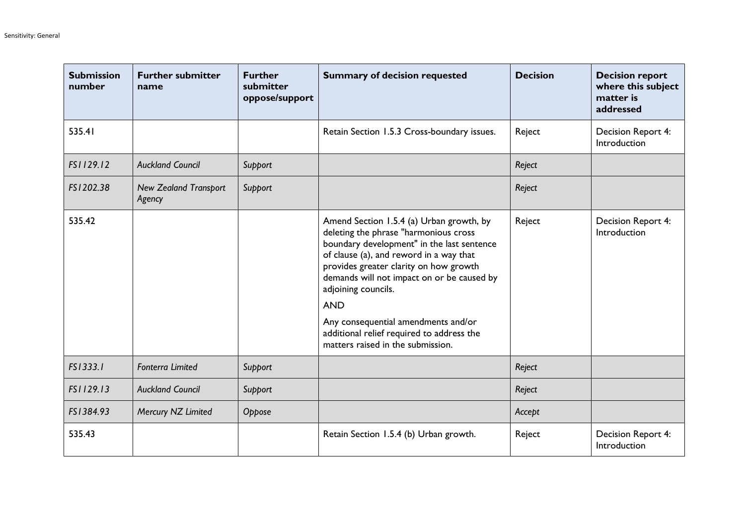| <b>Submission</b><br>number | <b>Further submitter</b><br>name       | <b>Further</b><br>submitter<br>oppose/support | <b>Summary of decision requested</b>                                                                                                                                                                                                                                                                                                                                                                                             | <b>Decision</b> | <b>Decision report</b><br>where this subject<br>matter is<br>addressed |
|-----------------------------|----------------------------------------|-----------------------------------------------|----------------------------------------------------------------------------------------------------------------------------------------------------------------------------------------------------------------------------------------------------------------------------------------------------------------------------------------------------------------------------------------------------------------------------------|-----------------|------------------------------------------------------------------------|
| 535.41                      |                                        |                                               | Retain Section 1.5.3 Cross-boundary issues.                                                                                                                                                                                                                                                                                                                                                                                      | Reject          | Decision Report 4:<br>Introduction                                     |
| FS1129.12                   | <b>Auckland Council</b>                | Support                                       |                                                                                                                                                                                                                                                                                                                                                                                                                                  | Reject          |                                                                        |
| FS1202.38                   | <b>New Zealand Transport</b><br>Agency | Support                                       |                                                                                                                                                                                                                                                                                                                                                                                                                                  | Reject          |                                                                        |
| 535.42                      |                                        |                                               | Amend Section 1.5.4 (a) Urban growth, by<br>deleting the phrase "harmonious cross<br>boundary development" in the last sentence<br>of clause (a), and reword in a way that<br>provides greater clarity on how growth<br>demands will not impact on or be caused by<br>adjoining councils.<br><b>AND</b><br>Any consequential amendments and/or<br>additional relief required to address the<br>matters raised in the submission. | Reject          | Decision Report 4:<br>Introduction                                     |
| FS1333.1                    | <b>Fonterra Limited</b>                | Support                                       |                                                                                                                                                                                                                                                                                                                                                                                                                                  | Reject          |                                                                        |
| FS1129.13                   | <b>Auckland Council</b>                | Support                                       |                                                                                                                                                                                                                                                                                                                                                                                                                                  | Reject          |                                                                        |
| FS1384.93                   | Mercury NZ Limited                     | Oppose                                        |                                                                                                                                                                                                                                                                                                                                                                                                                                  | Accept          |                                                                        |
| 535.43                      |                                        |                                               | Retain Section 1.5.4 (b) Urban growth.                                                                                                                                                                                                                                                                                                                                                                                           | Reject          | Decision Report 4:<br>Introduction                                     |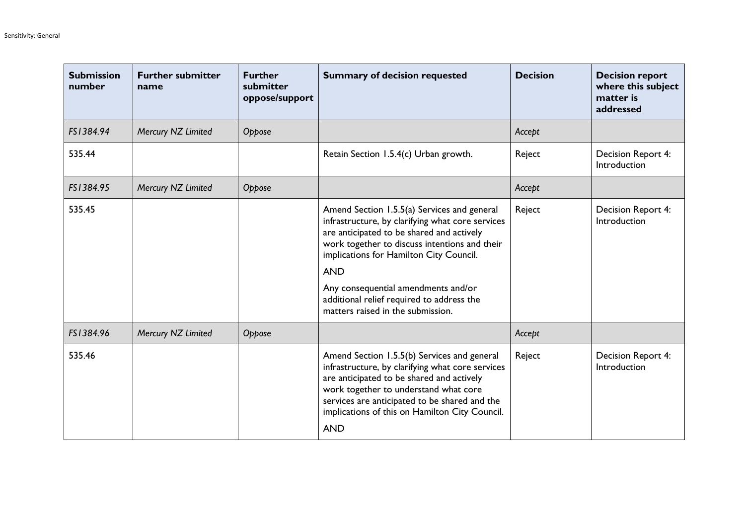| <b>Submission</b><br>number | <b>Further submitter</b><br>name | <b>Further</b><br>submitter<br>oppose/support | <b>Summary of decision requested</b>                                                                                                                                                                                                                                                                                                                                            | <b>Decision</b> | <b>Decision report</b><br>where this subject<br>matter is<br>addressed |
|-----------------------------|----------------------------------|-----------------------------------------------|---------------------------------------------------------------------------------------------------------------------------------------------------------------------------------------------------------------------------------------------------------------------------------------------------------------------------------------------------------------------------------|-----------------|------------------------------------------------------------------------|
| FS1384.94                   | Mercury NZ Limited               | Oppose                                        |                                                                                                                                                                                                                                                                                                                                                                                 | Accept          |                                                                        |
| 535.44                      |                                  |                                               | Retain Section 1.5.4(c) Urban growth.                                                                                                                                                                                                                                                                                                                                           | Reject          | Decision Report 4:<br>Introduction                                     |
| FS1384.95                   | Mercury NZ Limited               | Oppose                                        |                                                                                                                                                                                                                                                                                                                                                                                 | Accept          |                                                                        |
| 535.45                      |                                  |                                               | Amend Section 1.5.5(a) Services and general<br>infrastructure, by clarifying what core services<br>are anticipated to be shared and actively<br>work together to discuss intentions and their<br>implications for Hamilton City Council.<br><b>AND</b><br>Any consequential amendments and/or<br>additional relief required to address the<br>matters raised in the submission. | Reject          | Decision Report 4:<br>Introduction                                     |
| FS1384.96                   | Mercury NZ Limited               | Oppose                                        |                                                                                                                                                                                                                                                                                                                                                                                 | Accept          |                                                                        |
| 535.46                      |                                  |                                               | Amend Section 1.5.5(b) Services and general<br>infrastructure, by clarifying what core services<br>are anticipated to be shared and actively<br>work together to understand what core<br>services are anticipated to be shared and the<br>implications of this on Hamilton City Council.<br><b>AND</b>                                                                          | Reject          | <b>Decision Report 4:</b><br>Introduction                              |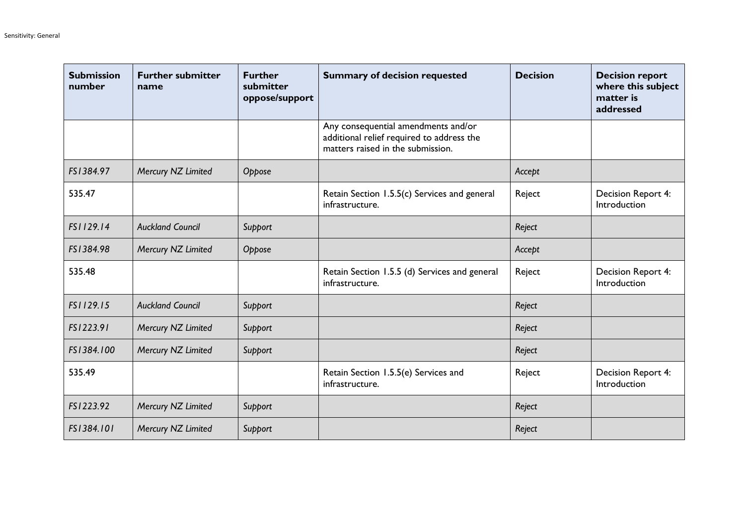| <b>Submission</b><br>number | <b>Further submitter</b><br>name | <b>Further</b><br>submitter<br>oppose/support | <b>Summary of decision requested</b>                                                                                  | <b>Decision</b> | <b>Decision report</b><br>where this subject<br>matter is<br>addressed |
|-----------------------------|----------------------------------|-----------------------------------------------|-----------------------------------------------------------------------------------------------------------------------|-----------------|------------------------------------------------------------------------|
|                             |                                  |                                               | Any consequential amendments and/or<br>additional relief required to address the<br>matters raised in the submission. |                 |                                                                        |
| FS1384.97                   | Mercury NZ Limited               | Oppose                                        |                                                                                                                       | Accept          |                                                                        |
| 535.47                      |                                  |                                               | Retain Section 1.5.5(c) Services and general<br>infrastructure.                                                       | Reject          | Decision Report 4:<br>Introduction                                     |
| FS1129.14                   | <b>Auckland Council</b>          | Support                                       |                                                                                                                       | Reject          |                                                                        |
| FS1384.98                   | Mercury NZ Limited               | Oppose                                        |                                                                                                                       | Accept          |                                                                        |
| 535.48                      |                                  |                                               | Retain Section 1.5.5 (d) Services and general<br>infrastructure.                                                      | Reject          | Decision Report 4:<br>Introduction                                     |
| FS1129.15                   | <b>Auckland Council</b>          | Support                                       |                                                                                                                       | Reject          |                                                                        |
| FS1223.91                   | Mercury NZ Limited               | Support                                       |                                                                                                                       | Reject          |                                                                        |
| FS1384.100                  | Mercury NZ Limited               | Support                                       |                                                                                                                       | Reject          |                                                                        |
| 535.49                      |                                  |                                               | Retain Section 1.5.5(e) Services and<br>infrastructure.                                                               | Reject          | Decision Report 4:<br>Introduction                                     |
| FS1223.92                   | Mercury NZ Limited               | Support                                       |                                                                                                                       | Reject          |                                                                        |
| FS1384.101                  | Mercury NZ Limited               | Support                                       |                                                                                                                       | Reject          |                                                                        |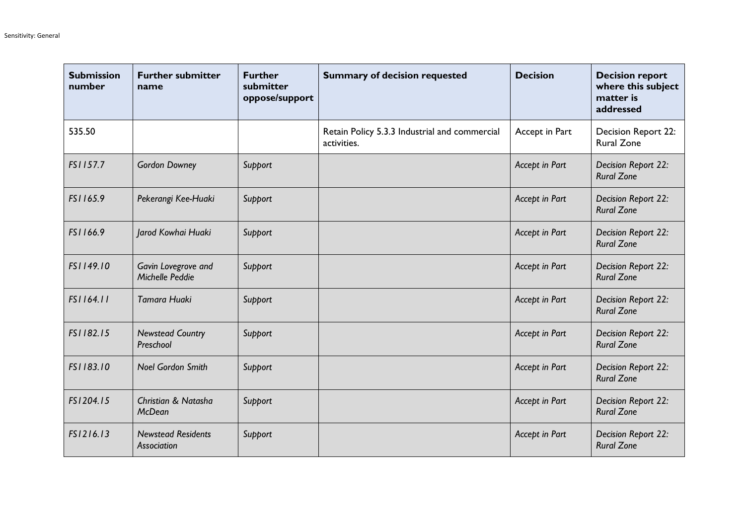| <b>Submission</b><br>number | <b>Further submitter</b><br>name         | <b>Further</b><br>submitter<br>oppose/support | <b>Summary of decision requested</b>                         | <b>Decision</b> | <b>Decision report</b><br>where this subject<br>matter is<br>addressed |
|-----------------------------|------------------------------------------|-----------------------------------------------|--------------------------------------------------------------|-----------------|------------------------------------------------------------------------|
| 535.50                      |                                          |                                               | Retain Policy 5.3.3 Industrial and commercial<br>activities. | Accept in Part  | Decision Report 22:<br><b>Rural Zone</b>                               |
| FS1157.7                    | <b>Gordon Downey</b>                     | Support                                       |                                                              | Accept in Part  | Decision Report 22:<br><b>Rural Zone</b>                               |
| FS1165.9                    | Pekerangi Kee-Huaki                      | Support                                       |                                                              | Accept in Part  | Decision Report 22:<br><b>Rural Zone</b>                               |
| FS1166.9                    | Jarod Kowhai Huaki                       | Support                                       |                                                              | Accept in Part  | Decision Report 22:<br><b>Rural Zone</b>                               |
| FS1149.10                   | Gavin Lovegrove and<br>Michelle Peddie   | Support                                       |                                                              | Accept in Part  | Decision Report 22:<br><b>Rural Zone</b>                               |
| FS1164.11                   | Tamara Huaki                             | Support                                       |                                                              | Accept in Part  | Decision Report 22:<br><b>Rural Zone</b>                               |
| FS1182.15                   | <b>Newstead Country</b><br>Preschool     | Support                                       |                                                              | Accept in Part  | Decision Report 22:<br><b>Rural Zone</b>                               |
| FS1183.10                   | <b>Noel Gordon Smith</b>                 | Support                                       |                                                              | Accept in Part  | Decision Report 22:<br><b>Rural Zone</b>                               |
| FS1204.15                   | Christian & Natasha<br><b>McDean</b>     | Support                                       |                                                              | Accept in Part  | Decision Report 22:<br><b>Rural Zone</b>                               |
| FS1216.13                   | <b>Newstead Residents</b><br>Association | Support                                       |                                                              | Accept in Part  | Decision Report 22:<br><b>Rural Zone</b>                               |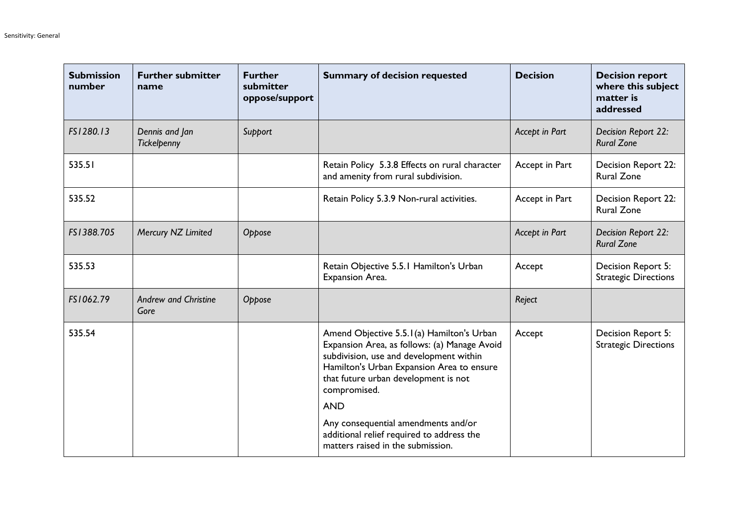| <b>Submission</b><br>number | <b>Further submitter</b><br>name    | <b>Further</b><br>submitter<br>oppose/support | <b>Summary of decision requested</b>                                                                                                                                                                                                      | <b>Decision</b> | <b>Decision report</b><br>where this subject<br>matter is<br>addressed |
|-----------------------------|-------------------------------------|-----------------------------------------------|-------------------------------------------------------------------------------------------------------------------------------------------------------------------------------------------------------------------------------------------|-----------------|------------------------------------------------------------------------|
| FS1280.13                   | Dennis and Jan<br>Tickelpenny       | Support                                       |                                                                                                                                                                                                                                           | Accept in Part  | Decision Report 22:<br><b>Rural Zone</b>                               |
| 535.51                      |                                     |                                               | Retain Policy 5.3.8 Effects on rural character<br>and amenity from rural subdivision.                                                                                                                                                     | Accept in Part  | <b>Decision Report 22:</b><br><b>Rural Zone</b>                        |
| 535.52                      |                                     |                                               | Retain Policy 5.3.9 Non-rural activities.                                                                                                                                                                                                 | Accept in Part  | Decision Report 22:<br><b>Rural Zone</b>                               |
| FS1388.705                  | Mercury NZ Limited                  | Oppose                                        |                                                                                                                                                                                                                                           | Accept in Part  | Decision Report 22:<br><b>Rural Zone</b>                               |
| 535.53                      |                                     |                                               | Retain Objective 5.5.1 Hamilton's Urban<br>Expansion Area.                                                                                                                                                                                | Accept          | Decision Report 5:<br><b>Strategic Directions</b>                      |
| FS1062.79                   | <b>Andrew and Christine</b><br>Gore | Oppose                                        |                                                                                                                                                                                                                                           | Reject          |                                                                        |
| 535.54                      |                                     |                                               | Amend Objective 5.5.1(a) Hamilton's Urban<br>Expansion Area, as follows: (a) Manage Avoid<br>subdivision, use and development within<br>Hamilton's Urban Expansion Area to ensure<br>that future urban development is not<br>compromised. | Accept          | Decision Report 5:<br><b>Strategic Directions</b>                      |
|                             |                                     |                                               | <b>AND</b><br>Any consequential amendments and/or<br>additional relief required to address the<br>matters raised in the submission.                                                                                                       |                 |                                                                        |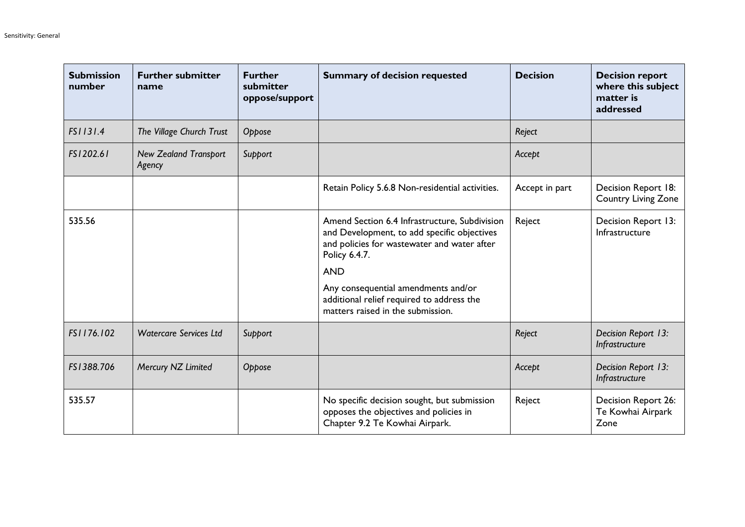| <b>Submission</b><br>number | <b>Further submitter</b><br>name       | <b>Further</b><br>submitter<br>oppose/support | <b>Summary of decision requested</b>                                                                                                                                                                                                                                                                | <b>Decision</b> | <b>Decision report</b><br>where this subject<br>matter is<br>addressed |
|-----------------------------|----------------------------------------|-----------------------------------------------|-----------------------------------------------------------------------------------------------------------------------------------------------------------------------------------------------------------------------------------------------------------------------------------------------------|-----------------|------------------------------------------------------------------------|
| FS1131.4                    | The Village Church Trust               | Oppose                                        |                                                                                                                                                                                                                                                                                                     | Reject          |                                                                        |
| FS1202.61                   | <b>New Zealand Transport</b><br>Agency | Support                                       |                                                                                                                                                                                                                                                                                                     | Accept          |                                                                        |
|                             |                                        |                                               | Retain Policy 5.6.8 Non-residential activities.                                                                                                                                                                                                                                                     | Accept in part  | Decision Report 18:<br><b>Country Living Zone</b>                      |
| 535.56                      |                                        |                                               | Amend Section 6.4 Infrastructure, Subdivision<br>and Development, to add specific objectives<br>and policies for wastewater and water after<br>Policy 6.4.7.<br><b>AND</b><br>Any consequential amendments and/or<br>additional relief required to address the<br>matters raised in the submission. | Reject          | Decision Report 13:<br>Infrastructure                                  |
| FS1176.102                  | <b>Watercare Services Ltd</b>          | Support                                       |                                                                                                                                                                                                                                                                                                     | Reject          | Decision Report 13:<br>Infrastructure                                  |
| FS1388.706                  | Mercury NZ Limited                     | Oppose                                        |                                                                                                                                                                                                                                                                                                     | Accept          | Decision Report 13:<br>Infrastructure                                  |
| 535.57                      |                                        |                                               | No specific decision sought, but submission<br>opposes the objectives and policies in<br>Chapter 9.2 Te Kowhai Airpark.                                                                                                                                                                             | Reject          | Decision Report 26:<br>Te Kowhai Airpark<br>Zone                       |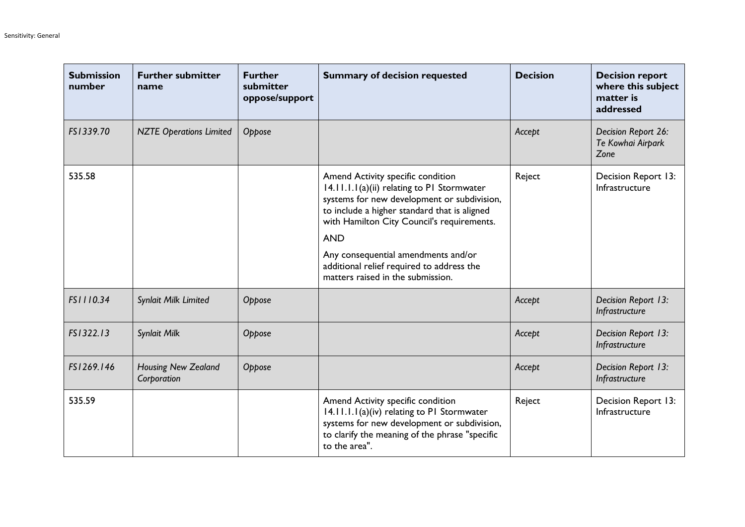| <b>Submission</b><br>number | <b>Further submitter</b><br>name   | <b>Further</b><br>submitter<br>oppose/support | <b>Summary of decision requested</b>                                                                                                                                                                                                                                                                                                                                | <b>Decision</b> | <b>Decision report</b><br>where this subject<br>matter is<br>addressed |
|-----------------------------|------------------------------------|-----------------------------------------------|---------------------------------------------------------------------------------------------------------------------------------------------------------------------------------------------------------------------------------------------------------------------------------------------------------------------------------------------------------------------|-----------------|------------------------------------------------------------------------|
| FS1339.70                   | <b>NZTE Operations Limited</b>     | Oppose                                        |                                                                                                                                                                                                                                                                                                                                                                     | Accept          | Decision Report 26:<br>Te Kowhai Airpark<br>Zone                       |
| 535.58                      |                                    |                                               | Amend Activity specific condition<br>14.11.1.1(a)(ii) relating to P1 Stormwater<br>systems for new development or subdivision,<br>to include a higher standard that is aligned<br>with Hamilton City Council's requirements.<br><b>AND</b><br>Any consequential amendments and/or<br>additional relief required to address the<br>matters raised in the submission. | Reject          | Decision Report 13:<br>Infrastructure                                  |
| FS1110.34                   | Synlait Milk Limited               | Oppose                                        |                                                                                                                                                                                                                                                                                                                                                                     | Accept          | Decision Report 13:<br>Infrastructure                                  |
| FS1322.13                   | <b>Synlait Milk</b>                | Oppose                                        |                                                                                                                                                                                                                                                                                                                                                                     | Accept          | Decision Report 13:<br>Infrastructure                                  |
| FS1269.146                  | Housing New Zealand<br>Corporation | Oppose                                        |                                                                                                                                                                                                                                                                                                                                                                     | Accept          | Decision Report 13:<br>Infrastructure                                  |
| 535.59                      |                                    |                                               | Amend Activity specific condition<br>14.11.1.1(a)(iv) relating to P1 Stormwater<br>systems for new development or subdivision,<br>to clarify the meaning of the phrase "specific<br>to the area".                                                                                                                                                                   | Reject          | Decision Report 13:<br>Infrastructure                                  |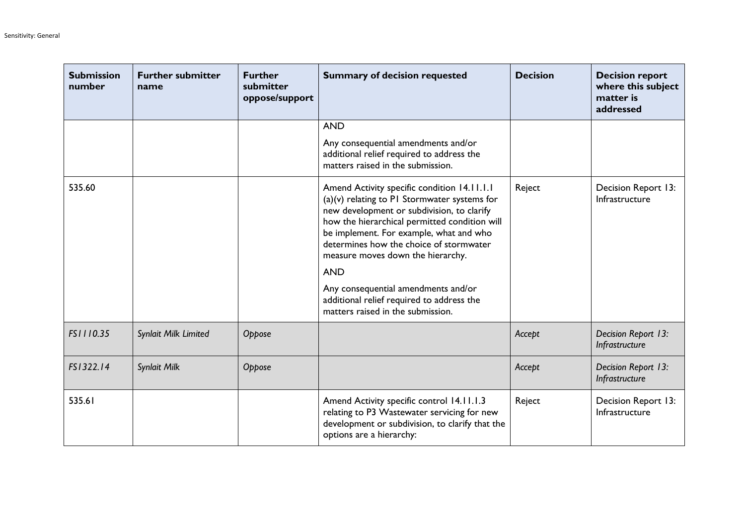| <b>Submission</b><br>number | <b>Further submitter</b><br>name | <b>Further</b><br>submitter<br>oppose/support | <b>Summary of decision requested</b>                                                                                                                                                                                                                                                                                                                                                                                                                           | <b>Decision</b> | <b>Decision report</b><br>where this subject<br>matter is<br>addressed |
|-----------------------------|----------------------------------|-----------------------------------------------|----------------------------------------------------------------------------------------------------------------------------------------------------------------------------------------------------------------------------------------------------------------------------------------------------------------------------------------------------------------------------------------------------------------------------------------------------------------|-----------------|------------------------------------------------------------------------|
|                             |                                  |                                               | <b>AND</b>                                                                                                                                                                                                                                                                                                                                                                                                                                                     |                 |                                                                        |
|                             |                                  |                                               | Any consequential amendments and/or<br>additional relief required to address the<br>matters raised in the submission.                                                                                                                                                                                                                                                                                                                                          |                 |                                                                        |
| 535.60                      |                                  |                                               | Amend Activity specific condition 14.11.1.1<br>$(a)(v)$ relating to PI Stormwater systems for<br>new development or subdivision, to clarify<br>how the hierarchical permitted condition will<br>be implement. For example, what and who<br>determines how the choice of stormwater<br>measure moves down the hierarchy.<br><b>AND</b><br>Any consequential amendments and/or<br>additional relief required to address the<br>matters raised in the submission. | Reject          | Decision Report 13:<br>Infrastructure                                  |
| FS1110.35                   | Synlait Milk Limited             | Oppose                                        |                                                                                                                                                                                                                                                                                                                                                                                                                                                                | Accept          | Decision Report 13:<br>Infrastructure                                  |
| FS1322.14                   | Synlait Milk                     | Oppose                                        |                                                                                                                                                                                                                                                                                                                                                                                                                                                                | Accept          | Decision Report 13:<br>Infrastructure                                  |
| 535.61                      |                                  |                                               | Amend Activity specific control 14.11.1.3<br>relating to P3 Wastewater servicing for new<br>development or subdivision, to clarify that the<br>options are a hierarchy:                                                                                                                                                                                                                                                                                        | Reject          | Decision Report 13:<br>Infrastructure                                  |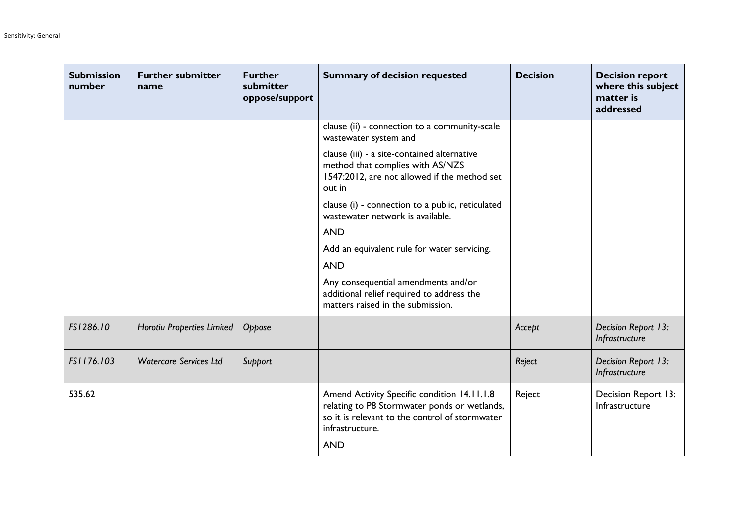| <b>Submission</b><br>number | <b>Further submitter</b><br>name | <b>Further</b><br>submitter<br>oppose/support | <b>Summary of decision requested</b>                                                                                                                                           | <b>Decision</b> | <b>Decision report</b><br>where this subject<br>matter is<br>addressed |
|-----------------------------|----------------------------------|-----------------------------------------------|--------------------------------------------------------------------------------------------------------------------------------------------------------------------------------|-----------------|------------------------------------------------------------------------|
|                             |                                  |                                               | clause (ii) - connection to a community-scale<br>wastewater system and                                                                                                         |                 |                                                                        |
|                             |                                  |                                               | clause (iii) - a site-contained alternative<br>method that complies with AS/NZS<br>1547:2012, are not allowed if the method set<br>out in                                      |                 |                                                                        |
|                             |                                  |                                               | clause (i) - connection to a public, reticulated<br>wastewater network is available.                                                                                           |                 |                                                                        |
|                             |                                  |                                               | <b>AND</b>                                                                                                                                                                     |                 |                                                                        |
|                             |                                  |                                               | Add an equivalent rule for water servicing.                                                                                                                                    |                 |                                                                        |
|                             |                                  |                                               | <b>AND</b>                                                                                                                                                                     |                 |                                                                        |
|                             |                                  |                                               | Any consequential amendments and/or<br>additional relief required to address the<br>matters raised in the submission.                                                          |                 |                                                                        |
| FS1286.10                   | Horotiu Properties Limited       | Oppose                                        |                                                                                                                                                                                | Accept          | Decision Report 13:<br>Infrastructure                                  |
| FS1176.103                  | <b>Watercare Services Ltd</b>    | Support                                       |                                                                                                                                                                                | Reject          | Decision Report 13:<br>Infrastructure                                  |
| 535.62                      |                                  |                                               | Amend Activity Specific condition 14.11.1.8<br>relating to P8 Stormwater ponds or wetlands,<br>so it is relevant to the control of stormwater<br>infrastructure.<br><b>AND</b> | Reject          | Decision Report 13:<br>Infrastructure                                  |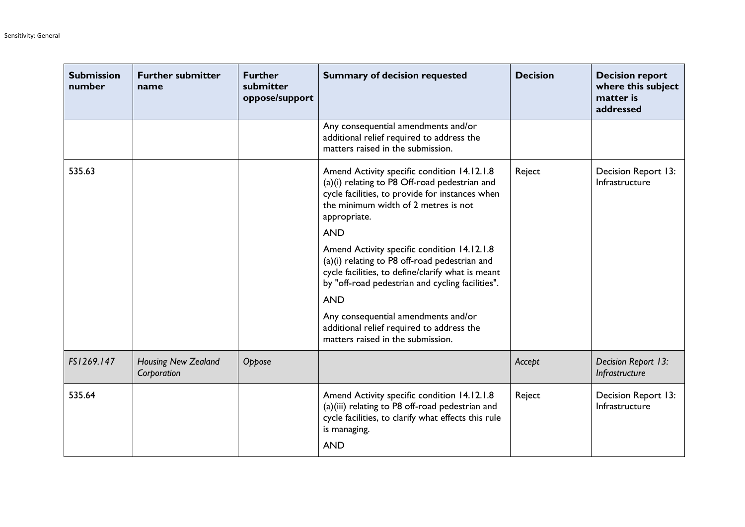| <b>Submission</b><br>number | <b>Further submitter</b><br>name          | <b>Further</b><br>submitter<br>oppose/support | <b>Summary of decision requested</b>                                                                                                                                                                                              | <b>Decision</b> | <b>Decision report</b><br>where this subject<br>matter is<br>addressed |
|-----------------------------|-------------------------------------------|-----------------------------------------------|-----------------------------------------------------------------------------------------------------------------------------------------------------------------------------------------------------------------------------------|-----------------|------------------------------------------------------------------------|
|                             |                                           |                                               | Any consequential amendments and/or<br>additional relief required to address the<br>matters raised in the submission.                                                                                                             |                 |                                                                        |
| 535.63                      |                                           |                                               | Amend Activity specific condition 14.12.1.8<br>(a)(i) relating to P8 Off-road pedestrian and<br>cycle facilities, to provide for instances when<br>the minimum width of 2 metres is not<br>appropriate.                           | Reject          | Decision Report 13:<br>Infrastructure                                  |
|                             |                                           |                                               | <b>AND</b><br>Amend Activity specific condition 14.12.1.8<br>(a)(i) relating to P8 off-road pedestrian and<br>cycle facilities, to define/clarify what is meant<br>by "off-road pedestrian and cycling facilities".<br><b>AND</b> |                 |                                                                        |
|                             |                                           |                                               | Any consequential amendments and/or<br>additional relief required to address the<br>matters raised in the submission.                                                                                                             |                 |                                                                        |
| FS1269.147                  | <b>Housing New Zealand</b><br>Corporation | Oppose                                        |                                                                                                                                                                                                                                   | Accept          | Decision Report 13:<br>Infrastructure                                  |
| 535.64                      |                                           |                                               | Amend Activity specific condition 14.12.1.8<br>(a)(iii) relating to P8 off-road pedestrian and<br>cycle facilities, to clarify what effects this rule<br>is managing.<br><b>AND</b>                                               | Reject          | Decision Report 13:<br>Infrastructure                                  |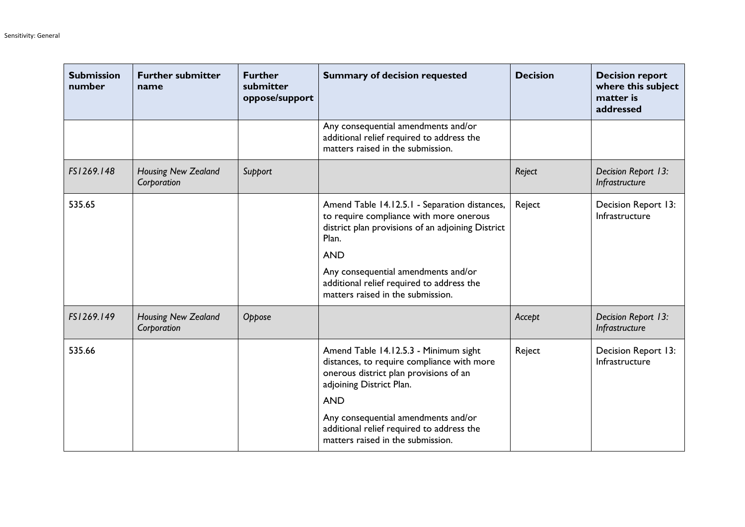| <b>Submission</b><br>number | <b>Further submitter</b><br>name          | <b>Further</b><br>submitter<br>oppose/support | <b>Summary of decision requested</b>                                                                                                                                 | <b>Decision</b> | <b>Decision report</b><br>where this subject<br>matter is<br>addressed |
|-----------------------------|-------------------------------------------|-----------------------------------------------|----------------------------------------------------------------------------------------------------------------------------------------------------------------------|-----------------|------------------------------------------------------------------------|
|                             |                                           |                                               | Any consequential amendments and/or<br>additional relief required to address the<br>matters raised in the submission.                                                |                 |                                                                        |
| FS1269.148                  | <b>Housing New Zealand</b><br>Corporation | Support                                       |                                                                                                                                                                      | Reject          | Decision Report 13:<br>Infrastructure                                  |
| 535.65                      |                                           |                                               | Amend Table 14.12.5.1 - Separation distances,<br>to require compliance with more onerous<br>district plan provisions of an adjoining District<br>Plan.<br><b>AND</b> | Reject          | Decision Report 13:<br>Infrastructure                                  |
|                             |                                           |                                               | Any consequential amendments and/or<br>additional relief required to address the<br>matters raised in the submission.                                                |                 |                                                                        |
| FS1269.149                  | <b>Housing New Zealand</b><br>Corporation | Oppose                                        |                                                                                                                                                                      | Accept          | Decision Report 13:<br>Infrastructure                                  |
| 535.66                      |                                           |                                               | Amend Table 14.12.5.3 - Minimum sight<br>distances, to require compliance with more<br>onerous district plan provisions of an<br>adjoining District Plan.            | Reject          | Decision Report 13:<br>Infrastructure                                  |
|                             |                                           |                                               | <b>AND</b><br>Any consequential amendments and/or<br>additional relief required to address the<br>matters raised in the submission.                                  |                 |                                                                        |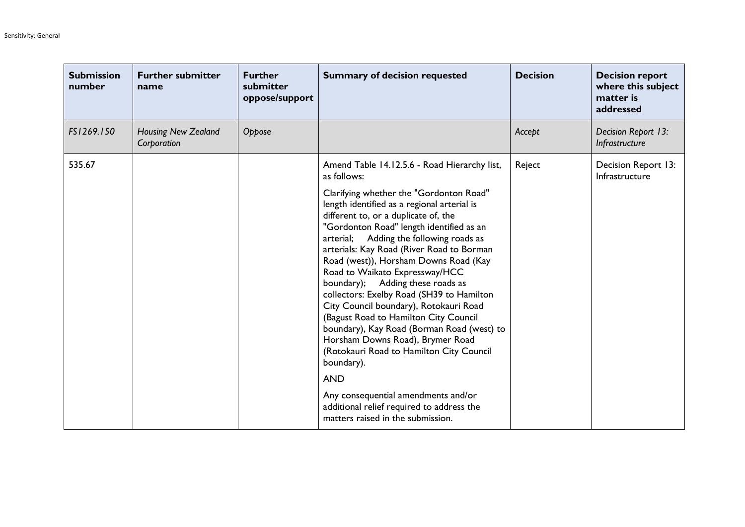| <b>Submission</b><br>number | <b>Further submitter</b><br>name          | <b>Further</b><br>submitter<br>oppose/support | <b>Summary of decision requested</b>                                                                                                                                                                                                                                                                                                                                                                                                                                                                                                                                                                                                                                                                                                                                                                                                                                | <b>Decision</b> | <b>Decision report</b><br>where this subject<br>matter is<br>addressed |
|-----------------------------|-------------------------------------------|-----------------------------------------------|---------------------------------------------------------------------------------------------------------------------------------------------------------------------------------------------------------------------------------------------------------------------------------------------------------------------------------------------------------------------------------------------------------------------------------------------------------------------------------------------------------------------------------------------------------------------------------------------------------------------------------------------------------------------------------------------------------------------------------------------------------------------------------------------------------------------------------------------------------------------|-----------------|------------------------------------------------------------------------|
| FS1269.150                  | <b>Housing New Zealand</b><br>Corporation | Oppose                                        |                                                                                                                                                                                                                                                                                                                                                                                                                                                                                                                                                                                                                                                                                                                                                                                                                                                                     | Accept          | Decision Report 13:<br>Infrastructure                                  |
| 535.67                      |                                           |                                               | Amend Table 14.12.5.6 - Road Hierarchy list,<br>as follows:<br>Clarifying whether the "Gordonton Road"<br>length identified as a regional arterial is<br>different to, or a duplicate of, the<br>"Gordonton Road" length identified as an<br>arterial; Adding the following roads as<br>arterials: Kay Road (River Road to Borman<br>Road (west)), Horsham Downs Road (Kay<br>Road to Waikato Expressway/HCC<br>boundary); Adding these roads as<br>collectors: Exelby Road (SH39 to Hamilton<br>City Council boundary), Rotokauri Road<br>(Bagust Road to Hamilton City Council<br>boundary), Kay Road (Borman Road (west) to<br>Horsham Downs Road), Brymer Road<br>(Rotokauri Road to Hamilton City Council<br>boundary).<br><b>AND</b><br>Any consequential amendments and/or<br>additional relief required to address the<br>matters raised in the submission. | Reject          | Decision Report 13:<br>Infrastructure                                  |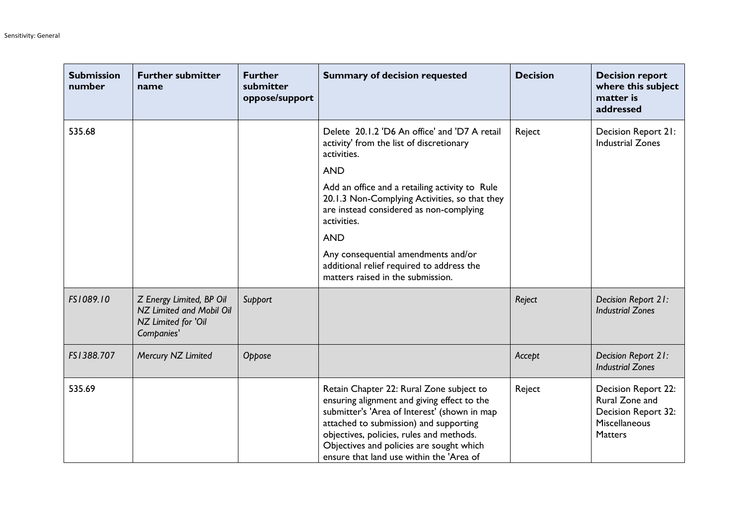| <b>Submission</b><br>number | <b>Further submitter</b><br>name                                                          | <b>Further</b><br>submitter<br>oppose/support | <b>Summary of decision requested</b>                                                                                                                                                                                                                                                                                  | <b>Decision</b> | <b>Decision report</b><br>where this subject<br>matter is<br>addressed                          |
|-----------------------------|-------------------------------------------------------------------------------------------|-----------------------------------------------|-----------------------------------------------------------------------------------------------------------------------------------------------------------------------------------------------------------------------------------------------------------------------------------------------------------------------|-----------------|-------------------------------------------------------------------------------------------------|
| 535.68                      |                                                                                           |                                               | Delete 20.1.2 'D6 An office' and 'D7 A retail<br>activity' from the list of discretionary<br>activities.                                                                                                                                                                                                              | Reject          | Decision Report 21:<br><b>Industrial Zones</b>                                                  |
|                             |                                                                                           |                                               | <b>AND</b><br>Add an office and a retailing activity to Rule<br>20.1.3 Non-Complying Activities, so that they<br>are instead considered as non-complying<br>activities.                                                                                                                                               |                 |                                                                                                 |
|                             |                                                                                           |                                               | <b>AND</b>                                                                                                                                                                                                                                                                                                            |                 |                                                                                                 |
|                             |                                                                                           |                                               | Any consequential amendments and/or<br>additional relief required to address the<br>matters raised in the submission.                                                                                                                                                                                                 |                 |                                                                                                 |
| FS1089.10                   | Z Energy Limited, BP Oil<br>NZ Limited and Mobil Oil<br>NZ Limited for 'Oil<br>Companies' | Support                                       |                                                                                                                                                                                                                                                                                                                       | Reject          | Decision Report 21:<br><b>Industrial Zones</b>                                                  |
| FS1388.707                  | Mercury NZ Limited                                                                        | Oppose                                        |                                                                                                                                                                                                                                                                                                                       | Accept          | Decision Report 21:<br><b>Industrial Zones</b>                                                  |
| 535.69                      |                                                                                           |                                               | Retain Chapter 22: Rural Zone subject to<br>ensuring alignment and giving effect to the<br>submitter's 'Area of Interest' (shown in map<br>attached to submission) and supporting<br>objectives, policies, rules and methods.<br>Objectives and policies are sought which<br>ensure that land use within the 'Area of | Reject          | Decision Report 22:<br>Rural Zone and<br>Decision Report 32:<br>Miscellaneous<br><b>Matters</b> |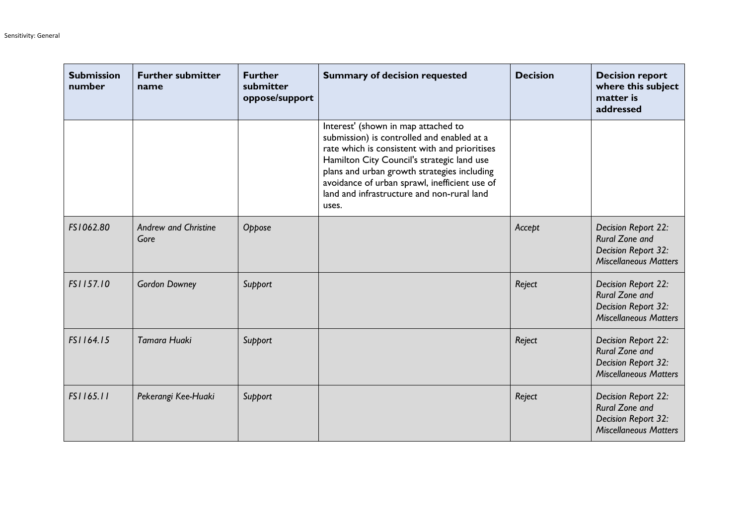| <b>Submission</b><br>number | <b>Further submitter</b><br>name    | <b>Further</b><br>submitter<br>oppose/support | <b>Summary of decision requested</b>                                                                                                                                                                                                                                                                                                    | <b>Decision</b> | <b>Decision report</b><br>where this subject<br>matter is<br>addressed                              |
|-----------------------------|-------------------------------------|-----------------------------------------------|-----------------------------------------------------------------------------------------------------------------------------------------------------------------------------------------------------------------------------------------------------------------------------------------------------------------------------------------|-----------------|-----------------------------------------------------------------------------------------------------|
|                             |                                     |                                               | Interest' (shown in map attached to<br>submission) is controlled and enabled at a<br>rate which is consistent with and prioritises<br>Hamilton City Council's strategic land use<br>plans and urban growth strategies including<br>avoidance of urban sprawl, inefficient use of<br>land and infrastructure and non-rural land<br>uses. |                 |                                                                                                     |
| FS1062.80                   | <b>Andrew and Christine</b><br>Gore | Oppose                                        |                                                                                                                                                                                                                                                                                                                                         | Accept          | Decision Report 22:<br>Rural Zone and<br>Decision Report 32:<br><b>Miscellaneous Matters</b>        |
| FS1157.10                   | <b>Gordon Downey</b>                | Support                                       |                                                                                                                                                                                                                                                                                                                                         | Reject          | Decision Report 22:<br><b>Rural Zone and</b><br>Decision Report 32:<br><b>Miscellaneous Matters</b> |
| FS1164.15                   | <b>Tamara Huaki</b>                 | Support                                       |                                                                                                                                                                                                                                                                                                                                         | Reject          | Decision Report 22:<br><b>Rural Zone and</b><br>Decision Report 32:<br><b>Miscellaneous Matters</b> |
| FS1165.11                   | Pekerangi Kee-Huaki                 | Support                                       |                                                                                                                                                                                                                                                                                                                                         | Reject          | Decision Report 22:<br>Rural Zone and<br>Decision Report 32:<br><b>Miscellaneous Matters</b>        |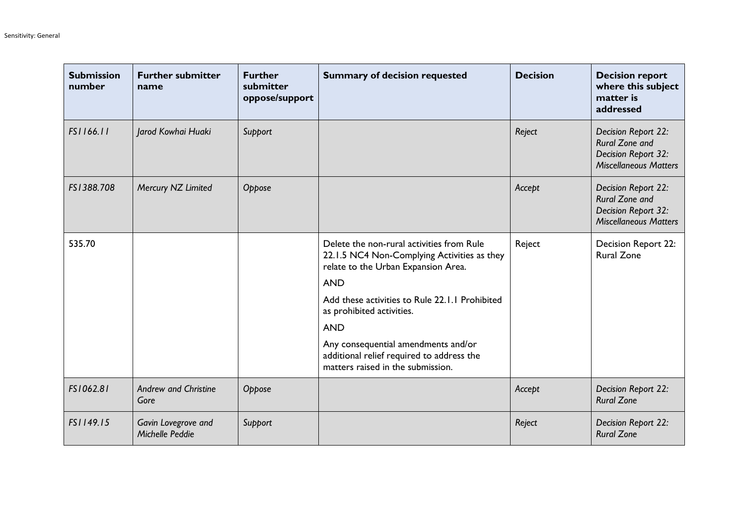| <b>Submission</b><br>number | <b>Further submitter</b><br>name       | <b>Further</b><br>submitter<br>oppose/support | <b>Summary of decision requested</b>                                                                                            | <b>Decision</b> | <b>Decision report</b><br>where this subject<br>matter is<br>addressed                       |
|-----------------------------|----------------------------------------|-----------------------------------------------|---------------------------------------------------------------------------------------------------------------------------------|-----------------|----------------------------------------------------------------------------------------------|
| FS1166.11                   | Jarod Kowhai Huaki                     | Support                                       |                                                                                                                                 | Reject          | Decision Report 22:<br>Rural Zone and<br>Decision Report 32:<br><b>Miscellaneous Matters</b> |
| FS1388.708                  | Mercury NZ Limited                     | Oppose                                        |                                                                                                                                 | Accept          | Decision Report 22:<br>Rural Zone and<br>Decision Report 32:<br><b>Miscellaneous Matters</b> |
| 535.70                      |                                        |                                               | Delete the non-rural activities from Rule<br>22.1.5 NC4 Non-Complying Activities as they<br>relate to the Urban Expansion Area. | Reject          | Decision Report 22:<br><b>Rural Zone</b>                                                     |
|                             |                                        |                                               | <b>AND</b><br>Add these activities to Rule 22.1.1 Prohibited<br>as prohibited activities.<br><b>AND</b>                         |                 |                                                                                              |
|                             |                                        |                                               | Any consequential amendments and/or<br>additional relief required to address the<br>matters raised in the submission.           |                 |                                                                                              |
| FS1062.81                   | <b>Andrew and Christine</b><br>Gore    | Oppose                                        |                                                                                                                                 | Accept          | Decision Report 22:<br><b>Rural Zone</b>                                                     |
| FS1149.15                   | Gavin Lovegrove and<br>Michelle Peddie | Support                                       |                                                                                                                                 | Reject          | Decision Report 22:<br><b>Rural Zone</b>                                                     |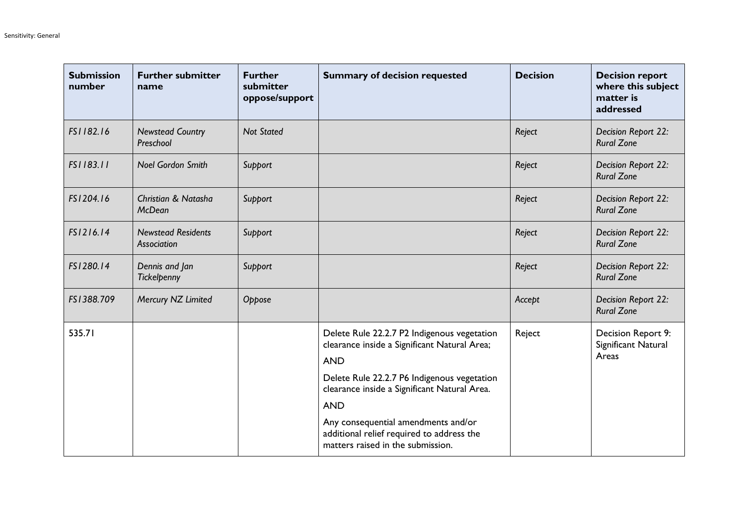| <b>Submission</b><br>number | <b>Further submitter</b><br>name         | <b>Further</b><br>submitter<br>oppose/support | <b>Summary of decision requested</b>                                                                                                                     | <b>Decision</b> | <b>Decision report</b><br>where this subject<br>matter is<br>addressed |
|-----------------------------|------------------------------------------|-----------------------------------------------|----------------------------------------------------------------------------------------------------------------------------------------------------------|-----------------|------------------------------------------------------------------------|
| FS1182.16                   | <b>Newstead Country</b><br>Preschool     | <b>Not Stated</b>                             |                                                                                                                                                          | Reject          | Decision Report 22:<br><b>Rural Zone</b>                               |
| FS1183.11                   | <b>Noel Gordon Smith</b>                 | Support                                       |                                                                                                                                                          | Reject          | Decision Report 22:<br><b>Rural Zone</b>                               |
| FS1204.16                   | Christian & Natasha<br><b>McDean</b>     | Support                                       |                                                                                                                                                          | Reject          | Decision Report 22:<br><b>Rural Zone</b>                               |
| FS1216.14                   | <b>Newstead Residents</b><br>Association | Support                                       |                                                                                                                                                          | Reject          | Decision Report 22:<br><b>Rural Zone</b>                               |
| FS1280.14                   | Dennis and Jan<br>Tickelpenny            | Support                                       |                                                                                                                                                          | Reject          | Decision Report 22:<br><b>Rural Zone</b>                               |
| FS1388.709                  | Mercury NZ Limited                       | Oppose                                        |                                                                                                                                                          | Accept          | Decision Report 22:<br><b>Rural Zone</b>                               |
| 535.71                      |                                          |                                               | Delete Rule 22.2.7 P2 Indigenous vegetation<br>clearance inside a Significant Natural Area;<br><b>AND</b><br>Delete Rule 22.2.7 P6 Indigenous vegetation | Reject          | Decision Report 9:<br>Significant Natural<br>Areas                     |
|                             |                                          |                                               | clearance inside a Significant Natural Area.<br><b>AND</b>                                                                                               |                 |                                                                        |
|                             |                                          |                                               | Any consequential amendments and/or<br>additional relief required to address the<br>matters raised in the submission.                                    |                 |                                                                        |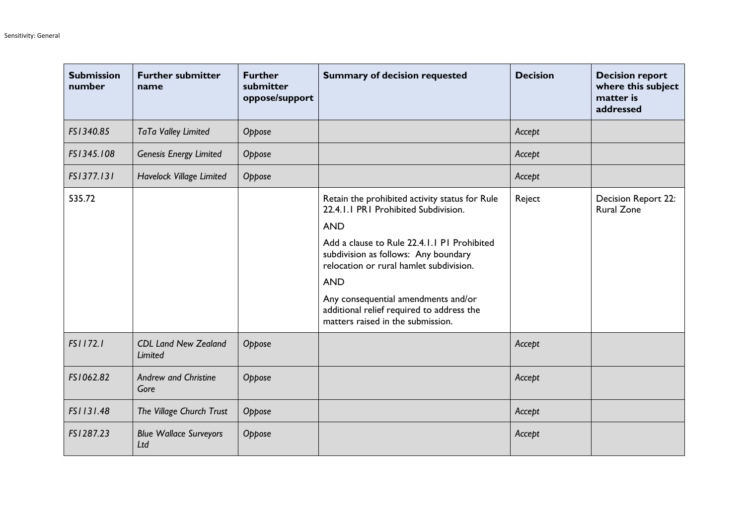| <b>Submission</b><br>number | <b>Further submitter</b><br>name              | <b>Further</b><br>submitter<br>oppose/support | <b>Summary of decision requested</b>                                                                                                                                                                                                                                                                                                                                          | <b>Decision</b> | <b>Decision report</b><br>where this subject<br>matter is<br>addressed |
|-----------------------------|-----------------------------------------------|-----------------------------------------------|-------------------------------------------------------------------------------------------------------------------------------------------------------------------------------------------------------------------------------------------------------------------------------------------------------------------------------------------------------------------------------|-----------------|------------------------------------------------------------------------|
| FS1340.85                   | TaTa Valley Limited                           | Oppose                                        |                                                                                                                                                                                                                                                                                                                                                                               | Accept          |                                                                        |
| FS1345.108                  | <b>Genesis Energy Limited</b>                 | Oppose                                        |                                                                                                                                                                                                                                                                                                                                                                               | Accept          |                                                                        |
| FS1377.131                  | Havelock Village Limited                      | Oppose                                        |                                                                                                                                                                                                                                                                                                                                                                               | Accept          |                                                                        |
| 535.72                      |                                               |                                               | Retain the prohibited activity status for Rule<br>22.4.1.1 PR1 Prohibited Subdivision.<br><b>AND</b><br>Add a clause to Rule 22.4.1.1 P1 Prohibited<br>subdivision as follows: Any boundary<br>relocation or rural hamlet subdivision.<br><b>AND</b><br>Any consequential amendments and/or<br>additional relief required to address the<br>matters raised in the submission. | Reject          | Decision Report 22:<br><b>Rural Zone</b>                               |
| FS1172.1                    | <b>CDL Land New Zealand</b><br><b>Limited</b> | Oppose                                        |                                                                                                                                                                                                                                                                                                                                                                               | Accept          |                                                                        |
| FS1062.82                   | <b>Andrew and Christine</b><br>Gore           | Oppose                                        |                                                                                                                                                                                                                                                                                                                                                                               | Accept          |                                                                        |
| FS1131.48                   | The Village Church Trust                      | Oppose                                        |                                                                                                                                                                                                                                                                                                                                                                               | Accept          |                                                                        |
| FS1287.23                   | <b>Blue Wallace Surveyors</b><br>Ltd          | Oppose                                        |                                                                                                                                                                                                                                                                                                                                                                               | Accept          |                                                                        |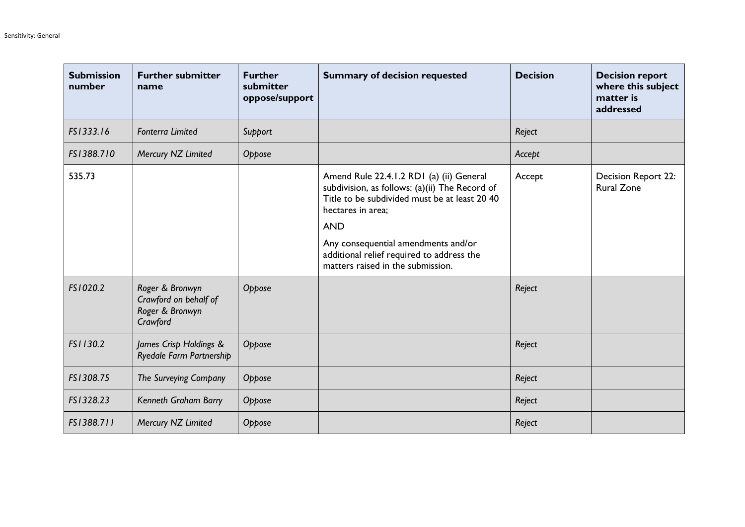| <b>Submission</b><br>number | <b>Further submitter</b><br>name                                        | <b>Further</b><br>submitter<br>oppose/support | <b>Summary of decision requested</b>                                                                                                                                                                                                                                                                    | <b>Decision</b> | <b>Decision report</b><br>where this subject<br>matter is<br>addressed |
|-----------------------------|-------------------------------------------------------------------------|-----------------------------------------------|---------------------------------------------------------------------------------------------------------------------------------------------------------------------------------------------------------------------------------------------------------------------------------------------------------|-----------------|------------------------------------------------------------------------|
| FS1333.16                   | <b>Fonterra Limited</b>                                                 | Support                                       |                                                                                                                                                                                                                                                                                                         | Reject          |                                                                        |
| FS1388.710                  | Mercury NZ Limited                                                      | Oppose                                        |                                                                                                                                                                                                                                                                                                         | Accept          |                                                                        |
| 535.73                      |                                                                         |                                               | Amend Rule 22.4.1.2 RD1 (a) (ii) General<br>subdivision, as follows: (a)(ii) The Record of<br>Title to be subdivided must be at least 20 40<br>hectares in area;<br><b>AND</b><br>Any consequential amendments and/or<br>additional relief required to address the<br>matters raised in the submission. | Accept          | Decision Report 22:<br><b>Rural Zone</b>                               |
| FS1020.2                    | Roger & Bronwyn<br>Crawford on behalf of<br>Roger & Bronwyn<br>Crawford | Oppose                                        |                                                                                                                                                                                                                                                                                                         | Reject          |                                                                        |
| FS1130.2                    | James Crisp Holdings &<br>Ryedale Farm Partnership                      | Oppose                                        |                                                                                                                                                                                                                                                                                                         | Reject          |                                                                        |
| FS1308.75                   | The Surveying Company                                                   | Oppose                                        |                                                                                                                                                                                                                                                                                                         | Reject          |                                                                        |
| FS1328.23                   | Kenneth Graham Barry                                                    | Oppose                                        |                                                                                                                                                                                                                                                                                                         | Reject          |                                                                        |
| FS1388.711                  | Mercury NZ Limited                                                      | Oppose                                        |                                                                                                                                                                                                                                                                                                         | Reject          |                                                                        |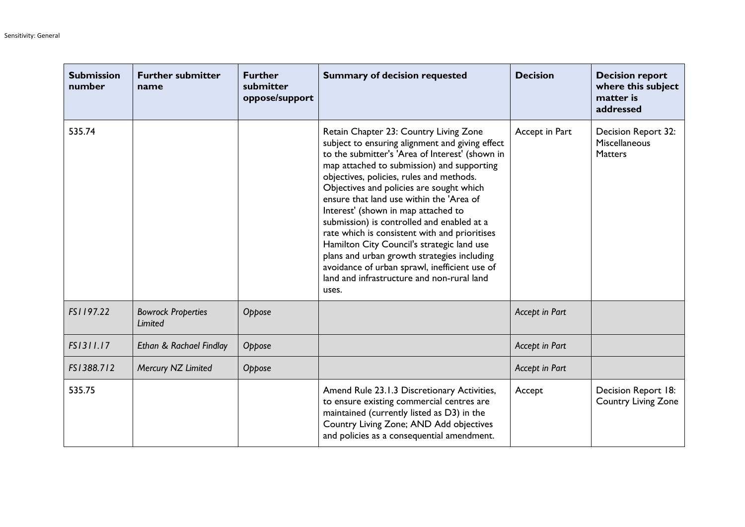| <b>Submission</b><br>number | <b>Further submitter</b><br>name     | <b>Further</b><br>submitter<br>oppose/support | <b>Summary of decision requested</b>                                                                                                                                                                                                                                                                                                                                                                                                                                                                                                                                                                                                                                      | <b>Decision</b> | <b>Decision report</b><br>where this subject<br>matter is<br>addressed |
|-----------------------------|--------------------------------------|-----------------------------------------------|---------------------------------------------------------------------------------------------------------------------------------------------------------------------------------------------------------------------------------------------------------------------------------------------------------------------------------------------------------------------------------------------------------------------------------------------------------------------------------------------------------------------------------------------------------------------------------------------------------------------------------------------------------------------------|-----------------|------------------------------------------------------------------------|
| 535.74                      |                                      |                                               | Retain Chapter 23: Country Living Zone<br>subject to ensuring alignment and giving effect<br>to the submitter's 'Area of Interest' (shown in<br>map attached to submission) and supporting<br>objectives, policies, rules and methods.<br>Objectives and policies are sought which<br>ensure that land use within the 'Area of<br>Interest' (shown in map attached to<br>submission) is controlled and enabled at a<br>rate which is consistent with and prioritises<br>Hamilton City Council's strategic land use<br>plans and urban growth strategies including<br>avoidance of urban sprawl, inefficient use of<br>land and infrastructure and non-rural land<br>uses. | Accept in Part  | Decision Report 32:<br>Miscellaneous<br><b>Matters</b>                 |
| FS1197.22                   | <b>Bowrock Properties</b><br>Limited | Oppose                                        |                                                                                                                                                                                                                                                                                                                                                                                                                                                                                                                                                                                                                                                                           | Accept in Part  |                                                                        |
| FS1311.17                   | Ethan & Rachael Findlay              | Oppose                                        |                                                                                                                                                                                                                                                                                                                                                                                                                                                                                                                                                                                                                                                                           | Accept in Part  |                                                                        |
| FS1388.712                  | Mercury NZ Limited                   | Oppose                                        |                                                                                                                                                                                                                                                                                                                                                                                                                                                                                                                                                                                                                                                                           | Accept in Part  |                                                                        |
| 535.75                      |                                      |                                               | Amend Rule 23.1.3 Discretionary Activities,<br>to ensure existing commercial centres are<br>maintained (currently listed as D3) in the<br>Country Living Zone; AND Add objectives<br>and policies as a consequential amendment.                                                                                                                                                                                                                                                                                                                                                                                                                                           | Accept          | Decision Report 18:<br><b>Country Living Zone</b>                      |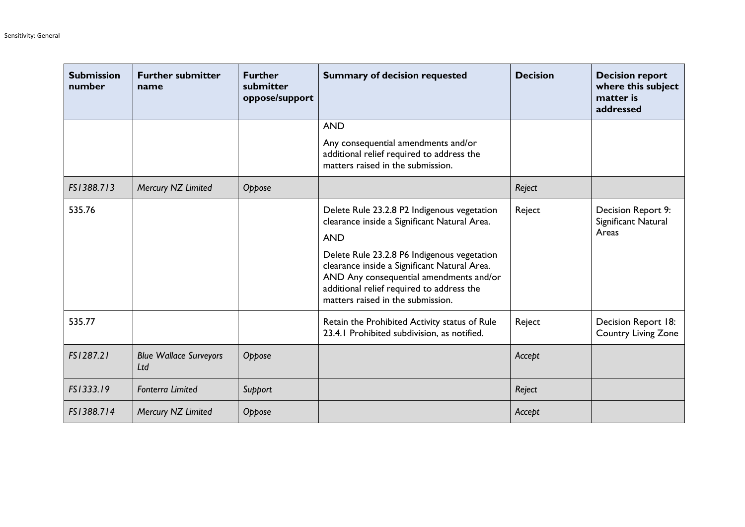| <b>Submission</b><br>number | <b>Further submitter</b><br>name     | <b>Further</b><br>submitter<br>oppose/support | <b>Summary of decision requested</b>                                                                                                                                                                                     | <b>Decision</b> | <b>Decision report</b><br>where this subject<br>matter is<br>addressed |
|-----------------------------|--------------------------------------|-----------------------------------------------|--------------------------------------------------------------------------------------------------------------------------------------------------------------------------------------------------------------------------|-----------------|------------------------------------------------------------------------|
|                             |                                      |                                               | <b>AND</b>                                                                                                                                                                                                               |                 |                                                                        |
|                             |                                      |                                               | Any consequential amendments and/or<br>additional relief required to address the<br>matters raised in the submission.                                                                                                    |                 |                                                                        |
| FS1388.713                  | Mercury NZ Limited                   | Oppose                                        |                                                                                                                                                                                                                          | Reject          |                                                                        |
| 535.76                      |                                      |                                               | Delete Rule 23.2.8 P2 Indigenous vegetation<br>clearance inside a Significant Natural Area.<br><b>AND</b>                                                                                                                | Reject          | Decision Report 9:<br>Significant Natural<br>Areas                     |
|                             |                                      |                                               | Delete Rule 23.2.8 P6 Indigenous vegetation<br>clearance inside a Significant Natural Area.<br>AND Any consequential amendments and/or<br>additional relief required to address the<br>matters raised in the submission. |                 |                                                                        |
| 535.77                      |                                      |                                               | Retain the Prohibited Activity status of Rule<br>23.4.1 Prohibited subdivision, as notified.                                                                                                                             | Reject          | Decision Report 18:<br><b>Country Living Zone</b>                      |
| FS1287.21                   | <b>Blue Wallace Surveyors</b><br>Ltd | Oppose                                        |                                                                                                                                                                                                                          | Accept          |                                                                        |
| FS1333.19                   | <b>Fonterra Limited</b>              | Support                                       |                                                                                                                                                                                                                          | Reject          |                                                                        |
| FS1388.714                  | Mercury NZ Limited                   | Oppose                                        |                                                                                                                                                                                                                          | Accept          |                                                                        |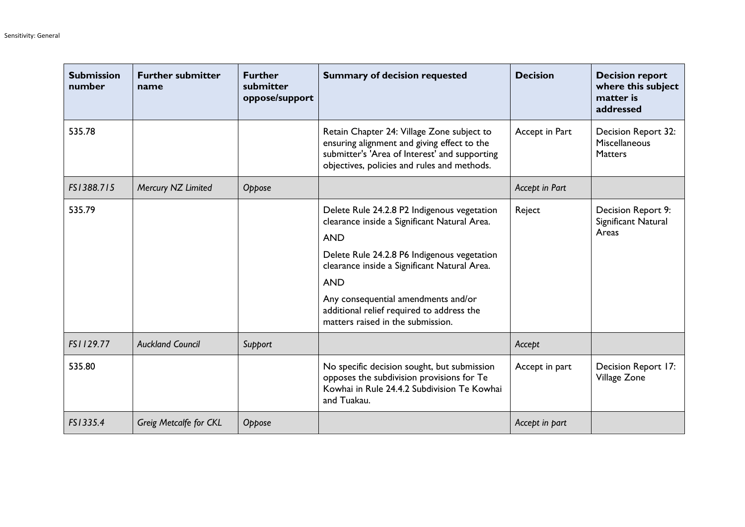| <b>Submission</b><br>number | <b>Further submitter</b><br>name | <b>Further</b><br>submitter<br>oppose/support | <b>Summary of decision requested</b>                                                                                                                                                                                                                                                                                                            | <b>Decision</b> | <b>Decision report</b><br>where this subject<br>matter is<br>addressed |
|-----------------------------|----------------------------------|-----------------------------------------------|-------------------------------------------------------------------------------------------------------------------------------------------------------------------------------------------------------------------------------------------------------------------------------------------------------------------------------------------------|-----------------|------------------------------------------------------------------------|
| 535.78                      |                                  |                                               | Retain Chapter 24: Village Zone subject to<br>ensuring alignment and giving effect to the<br>submitter's 'Area of Interest' and supporting<br>objectives, policies and rules and methods.                                                                                                                                                       | Accept in Part  | <b>Decision Report 32:</b><br>Miscellaneous<br><b>Matters</b>          |
| FS1388.715                  | Mercury NZ Limited               | Oppose                                        |                                                                                                                                                                                                                                                                                                                                                 | Accept in Part  |                                                                        |
| 535.79                      |                                  |                                               | Delete Rule 24.2.8 P2 Indigenous vegetation<br>clearance inside a Significant Natural Area.<br><b>AND</b><br>Delete Rule 24.2.8 P6 Indigenous vegetation<br>clearance inside a Significant Natural Area.<br><b>AND</b><br>Any consequential amendments and/or<br>additional relief required to address the<br>matters raised in the submission. | Reject          | Decision Report 9:<br>Significant Natural<br>Areas                     |
| FS1129.77                   | <b>Auckland Council</b>          | Support                                       |                                                                                                                                                                                                                                                                                                                                                 | Accept          |                                                                        |
| 535.80                      |                                  |                                               | No specific decision sought, but submission<br>opposes the subdivision provisions for Te<br>Kowhai in Rule 24.4.2 Subdivision Te Kowhai<br>and Tuakau.                                                                                                                                                                                          | Accept in part  | Decision Report 17:<br>Village Zone                                    |
| FS1335.4                    | Greig Metcalfe for CKL           | Oppose                                        |                                                                                                                                                                                                                                                                                                                                                 | Accept in part  |                                                                        |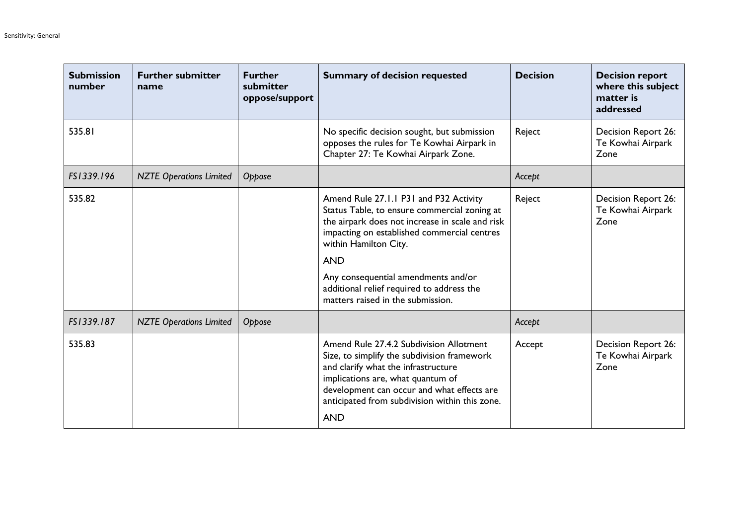| <b>Submission</b><br>number | <b>Further submitter</b><br>name | <b>Further</b><br>submitter<br>oppose/support | <b>Summary of decision requested</b>                                                                                                                                                                                                                                                                                                                     | <b>Decision</b> | <b>Decision report</b><br>where this subject<br>matter is<br>addressed |
|-----------------------------|----------------------------------|-----------------------------------------------|----------------------------------------------------------------------------------------------------------------------------------------------------------------------------------------------------------------------------------------------------------------------------------------------------------------------------------------------------------|-----------------|------------------------------------------------------------------------|
| 535.81                      |                                  |                                               | No specific decision sought, but submission<br>opposes the rules for Te Kowhai Airpark in<br>Chapter 27: Te Kowhai Airpark Zone.                                                                                                                                                                                                                         | Reject          | Decision Report 26:<br>Te Kowhai Airpark<br>Zone                       |
| FS1339.196                  | <b>NZTE Operations Limited</b>   | Oppose                                        |                                                                                                                                                                                                                                                                                                                                                          | Accept          |                                                                        |
| 535.82                      |                                  |                                               | Amend Rule 27.1.1 P31 and P32 Activity<br>Status Table, to ensure commercial zoning at<br>the airpark does not increase in scale and risk<br>impacting on established commercial centres<br>within Hamilton City.<br><b>AND</b><br>Any consequential amendments and/or<br>additional relief required to address the<br>matters raised in the submission. | Reject          | <b>Decision Report 26:</b><br>Te Kowhai Airpark<br>Zone                |
| FS1339.187                  | <b>NZTE Operations Limited</b>   | Oppose                                        |                                                                                                                                                                                                                                                                                                                                                          | Accept          |                                                                        |
| 535.83                      |                                  |                                               | Amend Rule 27.4.2 Subdivision Allotment<br>Size, to simplify the subdivision framework<br>and clarify what the infrastructure<br>implications are, what quantum of<br>development can occur and what effects are<br>anticipated from subdivision within this zone.<br><b>AND</b>                                                                         | Accept          | Decision Report 26:<br>Te Kowhai Airpark<br>Zone                       |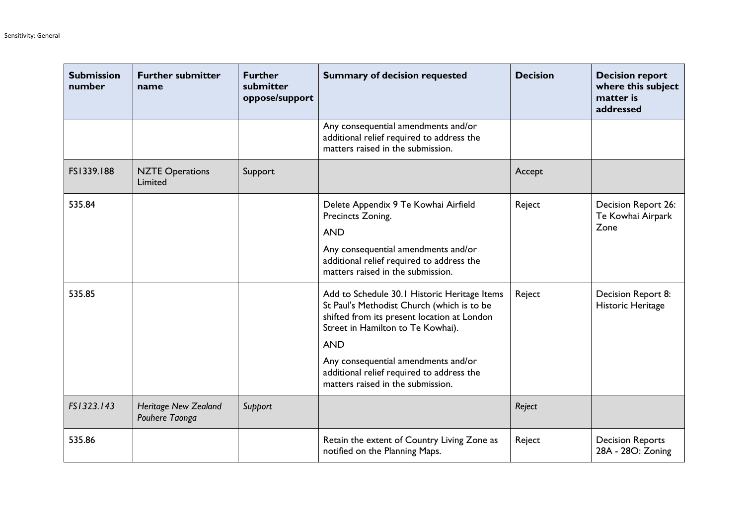| <b>Submission</b><br>number | <b>Further submitter</b><br>name              | <b>Further</b><br>submitter<br>oppose/support | <b>Summary of decision requested</b>                                                                                                                                                                                                                                                                                  | <b>Decision</b> | <b>Decision report</b><br>where this subject<br>matter is<br>addressed |
|-----------------------------|-----------------------------------------------|-----------------------------------------------|-----------------------------------------------------------------------------------------------------------------------------------------------------------------------------------------------------------------------------------------------------------------------------------------------------------------------|-----------------|------------------------------------------------------------------------|
|                             |                                               |                                               | Any consequential amendments and/or<br>additional relief required to address the<br>matters raised in the submission.                                                                                                                                                                                                 |                 |                                                                        |
| FS1339.188                  | <b>NZTE Operations</b><br>Limited             | Support                                       |                                                                                                                                                                                                                                                                                                                       | Accept          |                                                                        |
| 535.84                      |                                               |                                               | Delete Appendix 9 Te Kowhai Airfield<br>Precincts Zoning.<br><b>AND</b><br>Any consequential amendments and/or<br>additional relief required to address the<br>matters raised in the submission.                                                                                                                      | Reject          | Decision Report 26:<br>Te Kowhai Airpark<br>Zone                       |
| 535.85                      |                                               |                                               | Add to Schedule 30.1 Historic Heritage Items<br>St Paul's Methodist Church (which is to be<br>shifted from its present location at London<br>Street in Hamilton to Te Kowhai).<br><b>AND</b><br>Any consequential amendments and/or<br>additional relief required to address the<br>matters raised in the submission. | Reject          | Decision Report 8:<br>Historic Heritage                                |
| FS1323.143                  | <b>Heritage New Zealand</b><br>Pouhere Taonga | Support                                       |                                                                                                                                                                                                                                                                                                                       | Reject          |                                                                        |
| 535.86                      |                                               |                                               | Retain the extent of Country Living Zone as<br>notified on the Planning Maps.                                                                                                                                                                                                                                         | Reject          | <b>Decision Reports</b><br>28A - 28O: Zoning                           |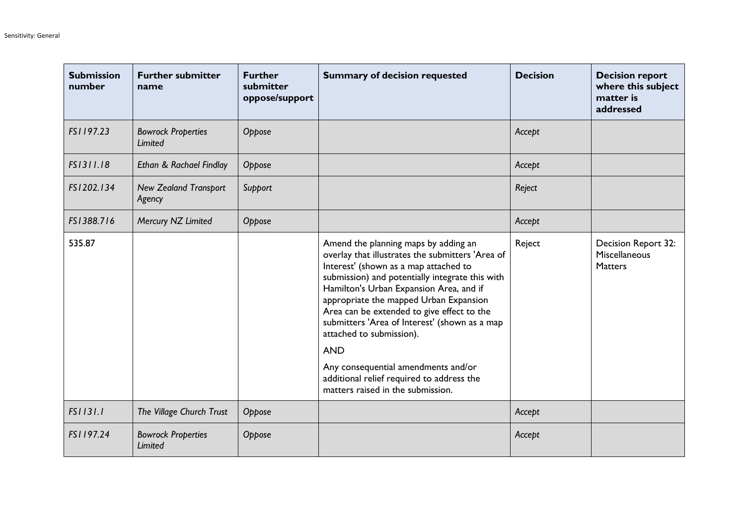| <b>Submission</b><br>number | <b>Further submitter</b><br>name       | <b>Further</b><br>submitter<br>oppose/support | <b>Summary of decision requested</b>                                                                                                                                                                                                                                                                                                                                                                                                                                                                                                        | <b>Decision</b> | <b>Decision report</b><br>where this subject<br>matter is<br>addressed |
|-----------------------------|----------------------------------------|-----------------------------------------------|---------------------------------------------------------------------------------------------------------------------------------------------------------------------------------------------------------------------------------------------------------------------------------------------------------------------------------------------------------------------------------------------------------------------------------------------------------------------------------------------------------------------------------------------|-----------------|------------------------------------------------------------------------|
| FS1197.23                   | <b>Bowrock Properties</b><br>Limited   | Oppose                                        |                                                                                                                                                                                                                                                                                                                                                                                                                                                                                                                                             | Accept          |                                                                        |
| FS1311.18                   | Ethan & Rachael Findlay                | Oppose                                        |                                                                                                                                                                                                                                                                                                                                                                                                                                                                                                                                             | Accept          |                                                                        |
| FS1202.134                  | <b>New Zealand Transport</b><br>Agency | Support                                       |                                                                                                                                                                                                                                                                                                                                                                                                                                                                                                                                             | Reject          |                                                                        |
| FS1388.716                  | Mercury NZ Limited                     | Oppose                                        |                                                                                                                                                                                                                                                                                                                                                                                                                                                                                                                                             | Accept          |                                                                        |
| 535.87                      |                                        |                                               | Amend the planning maps by adding an<br>overlay that illustrates the submitters 'Area of<br>Interest' (shown as a map attached to<br>submission) and potentially integrate this with<br>Hamilton's Urban Expansion Area, and if<br>appropriate the mapped Urban Expansion<br>Area can be extended to give effect to the<br>submitters 'Area of Interest' (shown as a map<br>attached to submission).<br><b>AND</b><br>Any consequential amendments and/or<br>additional relief required to address the<br>matters raised in the submission. | Reject          | Decision Report 32:<br>Miscellaneous<br><b>Matters</b>                 |
| FS1131.1                    | The Village Church Trust               | Oppose                                        |                                                                                                                                                                                                                                                                                                                                                                                                                                                                                                                                             | Accept          |                                                                        |
| FS1197.24                   | <b>Bowrock Properties</b><br>Limited   | Oppose                                        |                                                                                                                                                                                                                                                                                                                                                                                                                                                                                                                                             | Accept          |                                                                        |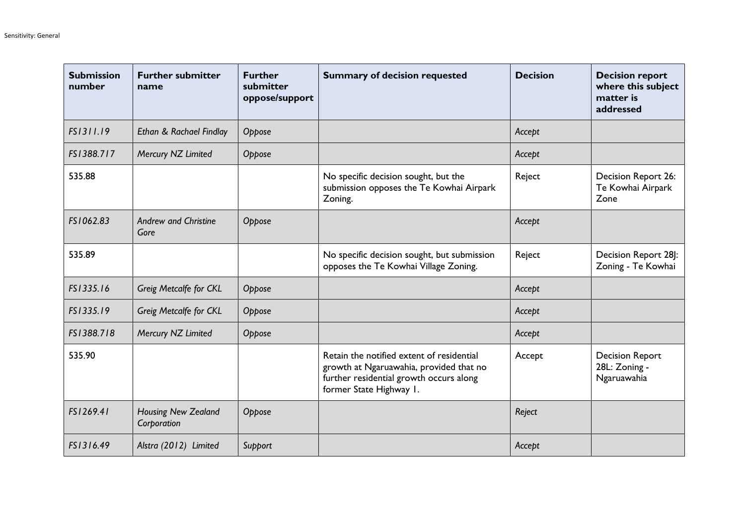| <b>Submission</b><br>number | <b>Further submitter</b><br>name          | <b>Further</b><br>submitter<br>oppose/support | <b>Summary of decision requested</b>                                                                                                                       | <b>Decision</b> | <b>Decision report</b><br>where this subject<br>matter is<br>addressed |
|-----------------------------|-------------------------------------------|-----------------------------------------------|------------------------------------------------------------------------------------------------------------------------------------------------------------|-----------------|------------------------------------------------------------------------|
| FS1311.19                   | Ethan & Rachael Findlay                   | Oppose                                        |                                                                                                                                                            | Accept          |                                                                        |
| FS1388.717                  | Mercury NZ Limited                        | Oppose                                        |                                                                                                                                                            | Accept          |                                                                        |
| 535.88                      |                                           |                                               | No specific decision sought, but the<br>submission opposes the Te Kowhai Airpark<br>Zoning.                                                                | Reject          | Decision Report 26:<br>Te Kowhai Airpark<br>Zone                       |
| FS1062.83                   | <b>Andrew and Christine</b><br>Gore       | Oppose                                        |                                                                                                                                                            | Accept          |                                                                        |
| 535.89                      |                                           |                                               | No specific decision sought, but submission<br>opposes the Te Kowhai Village Zoning.                                                                       | Reject          | Decision Report 28]:<br>Zoning - Te Kowhai                             |
| FS1335.16                   | Greig Metcalfe for CKL                    | Oppose                                        |                                                                                                                                                            | Accept          |                                                                        |
| FS1335.19                   | Greig Metcalfe for CKL                    | Oppose                                        |                                                                                                                                                            | Accept          |                                                                        |
| FS1388.718                  | Mercury NZ Limited                        | Oppose                                        |                                                                                                                                                            | Accept          |                                                                        |
| 535.90                      |                                           |                                               | Retain the notified extent of residential<br>growth at Ngaruawahia, provided that no<br>further residential growth occurs along<br>former State Highway 1. | Accept          | <b>Decision Report</b><br>28L: Zoning -<br>Ngaruawahia                 |
| FS1269.41                   | <b>Housing New Zealand</b><br>Corporation | Oppose                                        |                                                                                                                                                            | Reject          |                                                                        |
| FS1316.49                   | Alstra (2012) Limited                     | Support                                       |                                                                                                                                                            | Accept          |                                                                        |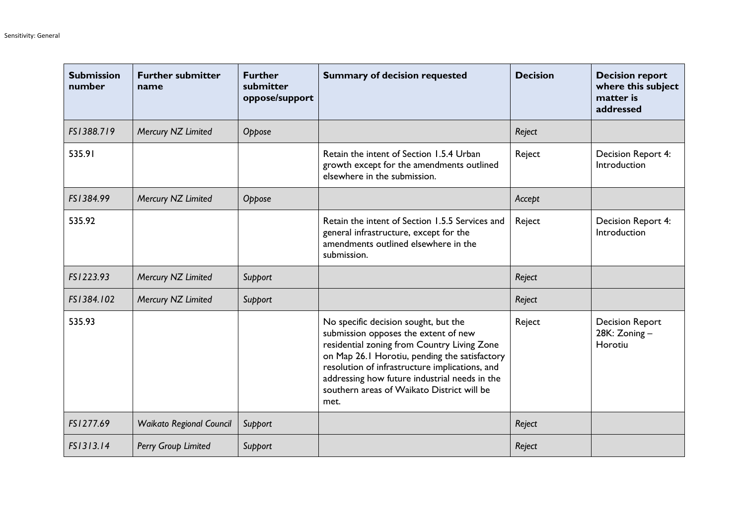| <b>Submission</b><br>number | <b>Further submitter</b><br>name | <b>Further</b><br>submitter<br>oppose/support | <b>Summary of decision requested</b>                                                                                                                                                                                                                                                                                                  | <b>Decision</b> | <b>Decision report</b><br>where this subject<br>matter is<br>addressed |
|-----------------------------|----------------------------------|-----------------------------------------------|---------------------------------------------------------------------------------------------------------------------------------------------------------------------------------------------------------------------------------------------------------------------------------------------------------------------------------------|-----------------|------------------------------------------------------------------------|
| FS1388.719                  | Mercury NZ Limited               | Oppose                                        |                                                                                                                                                                                                                                                                                                                                       | Reject          |                                                                        |
| 535.91                      |                                  |                                               | Retain the intent of Section 1.5.4 Urban<br>growth except for the amendments outlined<br>elsewhere in the submission.                                                                                                                                                                                                                 | Reject          | Decision Report 4:<br>Introduction                                     |
| FS1384.99                   | Mercury NZ Limited               | Oppose                                        |                                                                                                                                                                                                                                                                                                                                       | Accept          |                                                                        |
| 535.92                      |                                  |                                               | Retain the intent of Section 1.5.5 Services and<br>general infrastructure, except for the<br>amendments outlined elsewhere in the<br>submission.                                                                                                                                                                                      | Reject          | Decision Report 4:<br>Introduction                                     |
| FS1223.93                   | Mercury NZ Limited               | Support                                       |                                                                                                                                                                                                                                                                                                                                       | Reject          |                                                                        |
| FS1384.102                  | Mercury NZ Limited               | Support                                       |                                                                                                                                                                                                                                                                                                                                       | Reject          |                                                                        |
| 535.93                      |                                  |                                               | No specific decision sought, but the<br>submission opposes the extent of new<br>residential zoning from Country Living Zone<br>on Map 26.1 Horotiu, pending the satisfactory<br>resolution of infrastructure implications, and<br>addressing how future industrial needs in the<br>southern areas of Waikato District will be<br>met. | Reject          | <b>Decision Report</b><br>28K: Zoning-<br>Horotiu                      |
| FS1277.69                   | <b>Waikato Regional Council</b>  | Support                                       |                                                                                                                                                                                                                                                                                                                                       | Reject          |                                                                        |
| FS1313.14                   | Perry Group Limited              | Support                                       |                                                                                                                                                                                                                                                                                                                                       | Reject          |                                                                        |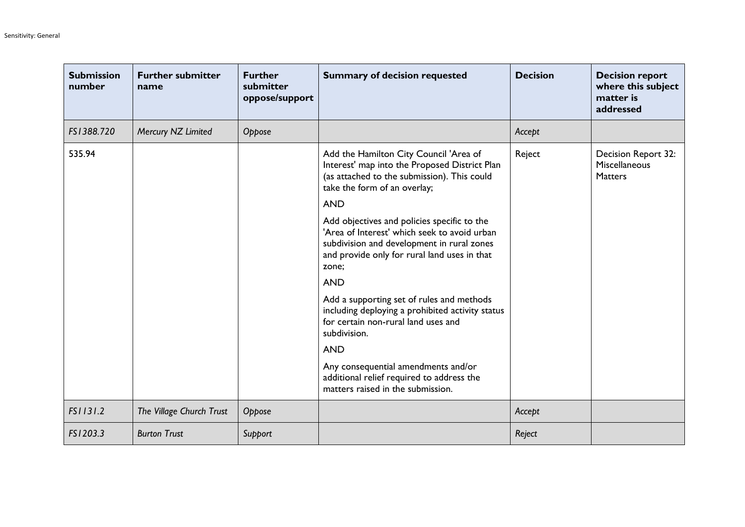| <b>Submission</b><br>number | <b>Further submitter</b><br>name | <b>Further</b><br>submitter<br>oppose/support | <b>Summary of decision requested</b>                                                                                                                                                                                                                                                                                                                                                                                                                                                                                                                                           | <b>Decision</b> | <b>Decision report</b><br>where this subject<br>matter is<br>addressed |
|-----------------------------|----------------------------------|-----------------------------------------------|--------------------------------------------------------------------------------------------------------------------------------------------------------------------------------------------------------------------------------------------------------------------------------------------------------------------------------------------------------------------------------------------------------------------------------------------------------------------------------------------------------------------------------------------------------------------------------|-----------------|------------------------------------------------------------------------|
| FS1388.720                  | Mercury NZ Limited               | Oppose                                        |                                                                                                                                                                                                                                                                                                                                                                                                                                                                                                                                                                                | Accept          |                                                                        |
| 535.94                      |                                  |                                               | Add the Hamilton City Council 'Area of<br>Interest' map into the Proposed District Plan<br>(as attached to the submission). This could<br>take the form of an overlay;<br><b>AND</b><br>Add objectives and policies specific to the<br>'Area of Interest' which seek to avoid urban<br>subdivision and development in rural zones<br>and provide only for rural land uses in that<br>zone;<br><b>AND</b><br>Add a supporting set of rules and methods<br>including deploying a prohibited activity status<br>for certain non-rural land uses and<br>subdivision.<br><b>AND</b> | Reject          | Decision Report 32:<br>Miscellaneous<br><b>Matters</b>                 |
|                             |                                  |                                               | Any consequential amendments and/or<br>additional relief required to address the<br>matters raised in the submission.                                                                                                                                                                                                                                                                                                                                                                                                                                                          |                 |                                                                        |
| FS1131.2                    | The Village Church Trust         | Oppose                                        |                                                                                                                                                                                                                                                                                                                                                                                                                                                                                                                                                                                | Accept          |                                                                        |
| FS1203.3                    | <b>Burton Trust</b>              | Support                                       |                                                                                                                                                                                                                                                                                                                                                                                                                                                                                                                                                                                | Reject          |                                                                        |